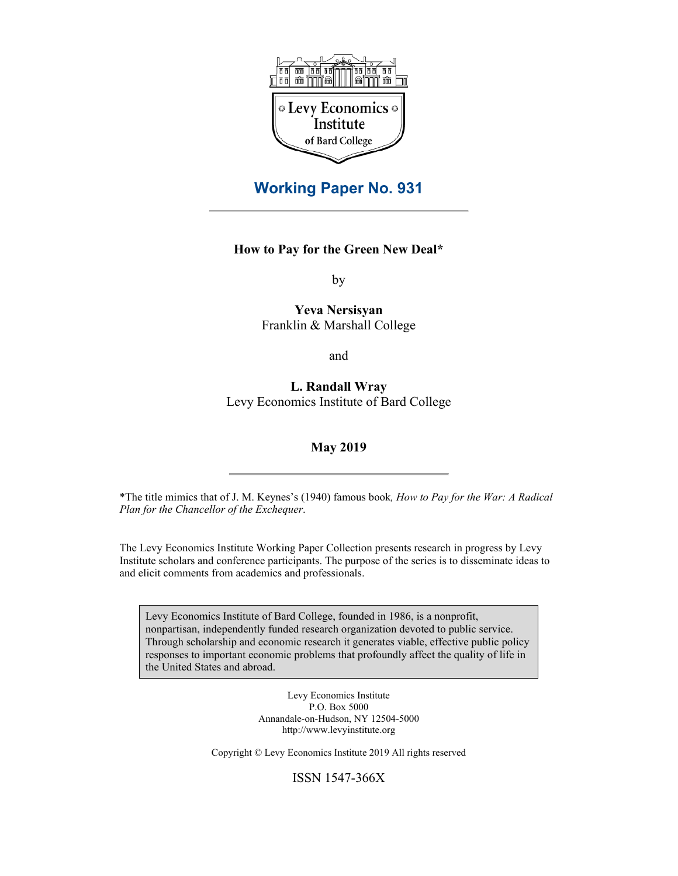

# **Working Paper No. 931**

# **How to Pay for the Green New Deal\***

by

**Yeva Nersisyan** Franklin & Marshall College

and

**L. Randall Wray** Levy Economics Institute of Bard College

### **May 2019**

\*The title mimics that of J. M. Keynes's (1940) famous book*, How to Pay for the War: A Radical Plan for the Chancellor of the Exchequer*.

The Levy Economics Institute Working Paper Collection presents research in progress by Levy Institute scholars and conference participants. The purpose of the series is to disseminate ideas to and elicit comments from academics and professionals.

Levy Economics Institute of Bard College, founded in 1986, is a nonprofit, nonpartisan, independently funded research organization devoted to public service. Through scholarship and economic research it generates viable, effective public policy responses to important economic problems that profoundly affect the quality of life in the United States and abroad.

> Levy Economics Institute P.O. Box 5000 Annandale-on-Hudson, NY 12504-5000 http://www.levyinstitute.org

Copyright © Levy Economics Institute 2019 All rights reserved

ISSN 1547-366X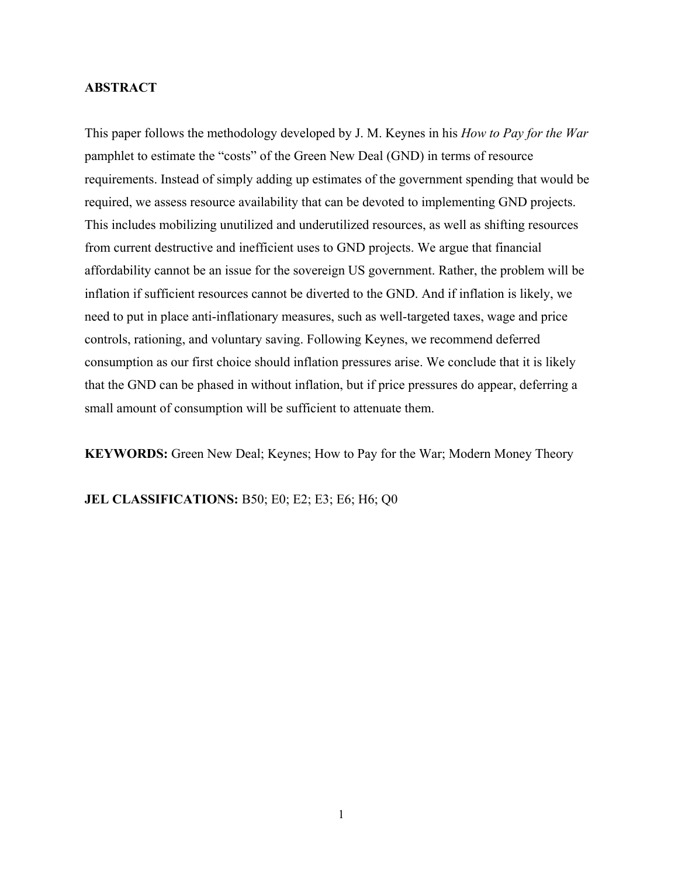### **ABSTRACT**

This paper follows the methodology developed by J. M. Keynes in his *How to Pay for the War* pamphlet to estimate the "costs" of the Green New Deal (GND) in terms of resource requirements. Instead of simply adding up estimates of the government spending that would be required, we assess resource availability that can be devoted to implementing GND projects. This includes mobilizing unutilized and underutilized resources, as well as shifting resources from current destructive and inefficient uses to GND projects. We argue that financial affordability cannot be an issue for the sovereign US government. Rather, the problem will be inflation if sufficient resources cannot be diverted to the GND. And if inflation is likely, we need to put in place anti-inflationary measures, such as well-targeted taxes, wage and price controls, rationing, and voluntary saving. Following Keynes, we recommend deferred consumption as our first choice should inflation pressures arise. We conclude that it is likely that the GND can be phased in without inflation, but if price pressures do appear, deferring a small amount of consumption will be sufficient to attenuate them.

**KEYWORDS:** Green New Deal; Keynes; How to Pay for the War; Modern Money Theory

**JEL CLASSIFICATIONS:** B50; E0; E2; E3; E6; H6; Q0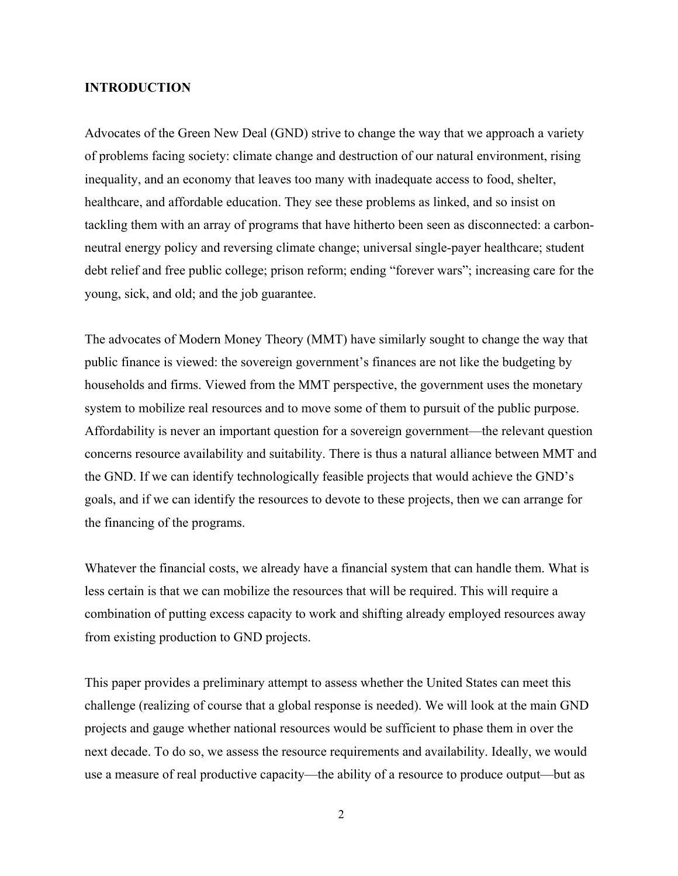### **INTRODUCTION**

Advocates of the Green New Deal (GND) strive to change the way that we approach a variety of problems facing society: climate change and destruction of our natural environment, rising inequality, and an economy that leaves too many with inadequate access to food, shelter, healthcare, and affordable education. They see these problems as linked, and so insist on tackling them with an array of programs that have hitherto been seen as disconnected: a carbonneutral energy policy and reversing climate change; universal single-payer healthcare; student debt relief and free public college; prison reform; ending "forever wars"; increasing care for the young, sick, and old; and the job guarantee.

The advocates of Modern Money Theory (MMT) have similarly sought to change the way that public finance is viewed: the sovereign government's finances are not like the budgeting by households and firms. Viewed from the MMT perspective, the government uses the monetary system to mobilize real resources and to move some of them to pursuit of the public purpose. Affordability is never an important question for a sovereign government—the relevant question concerns resource availability and suitability. There is thus a natural alliance between MMT and the GND. If we can identify technologically feasible projects that would achieve the GND's goals, and if we can identify the resources to devote to these projects, then we can arrange for the financing of the programs.

Whatever the financial costs, we already have a financial system that can handle them. What is less certain is that we can mobilize the resources that will be required. This will require a combination of putting excess capacity to work and shifting already employed resources away from existing production to GND projects.

This paper provides a preliminary attempt to assess whether the United States can meet this challenge (realizing of course that a global response is needed). We will look at the main GND projects and gauge whether national resources would be sufficient to phase them in over the next decade. To do so, we assess the resource requirements and availability. Ideally, we would use a measure of real productive capacity—the ability of a resource to produce output—but as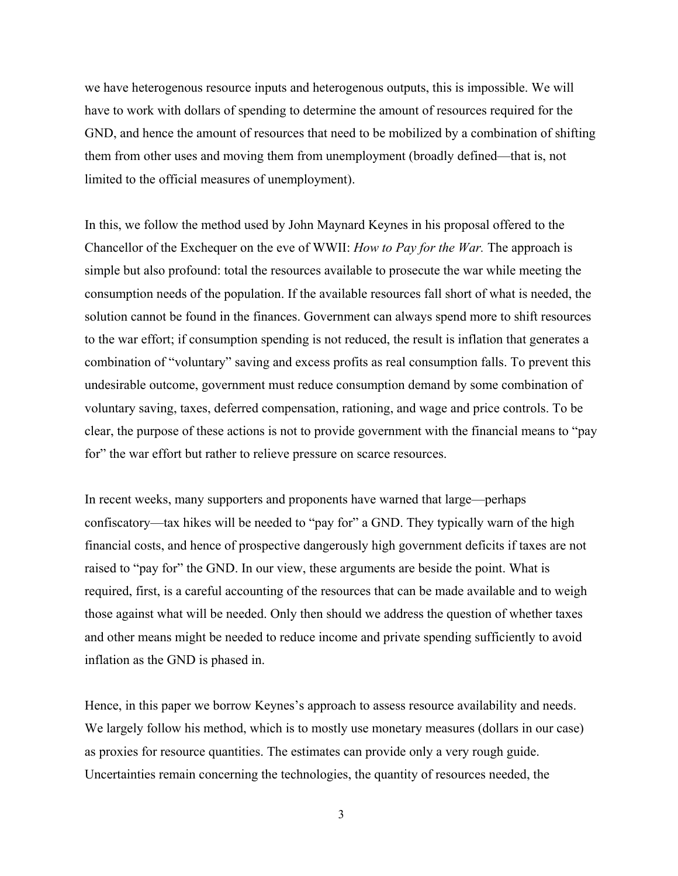we have heterogenous resource inputs and heterogenous outputs, this is impossible. We will have to work with dollars of spending to determine the amount of resources required for the GND, and hence the amount of resources that need to be mobilized by a combination of shifting them from other uses and moving them from unemployment (broadly defined—that is, not limited to the official measures of unemployment).

In this, we follow the method used by John Maynard Keynes in his proposal offered to the Chancellor of the Exchequer on the eve of WWII: *How to Pay for the War.* The approach is simple but also profound: total the resources available to prosecute the war while meeting the consumption needs of the population. If the available resources fall short of what is needed, the solution cannot be found in the finances. Government can always spend more to shift resources to the war effort; if consumption spending is not reduced, the result is inflation that generates a combination of "voluntary" saving and excess profits as real consumption falls. To prevent this undesirable outcome, government must reduce consumption demand by some combination of voluntary saving, taxes, deferred compensation, rationing, and wage and price controls. To be clear, the purpose of these actions is not to provide government with the financial means to "pay for" the war effort but rather to relieve pressure on scarce resources.

In recent weeks, many supporters and proponents have warned that large—perhaps confiscatory—tax hikes will be needed to "pay for" a GND. They typically warn of the high financial costs, and hence of prospective dangerously high government deficits if taxes are not raised to "pay for" the GND. In our view, these arguments are beside the point. What is required, first, is a careful accounting of the resources that can be made available and to weigh those against what will be needed. Only then should we address the question of whether taxes and other means might be needed to reduce income and private spending sufficiently to avoid inflation as the GND is phased in.

Hence, in this paper we borrow Keynes's approach to assess resource availability and needs. We largely follow his method, which is to mostly use monetary measures (dollars in our case) as proxies for resource quantities. The estimates can provide only a very rough guide. Uncertainties remain concerning the technologies, the quantity of resources needed, the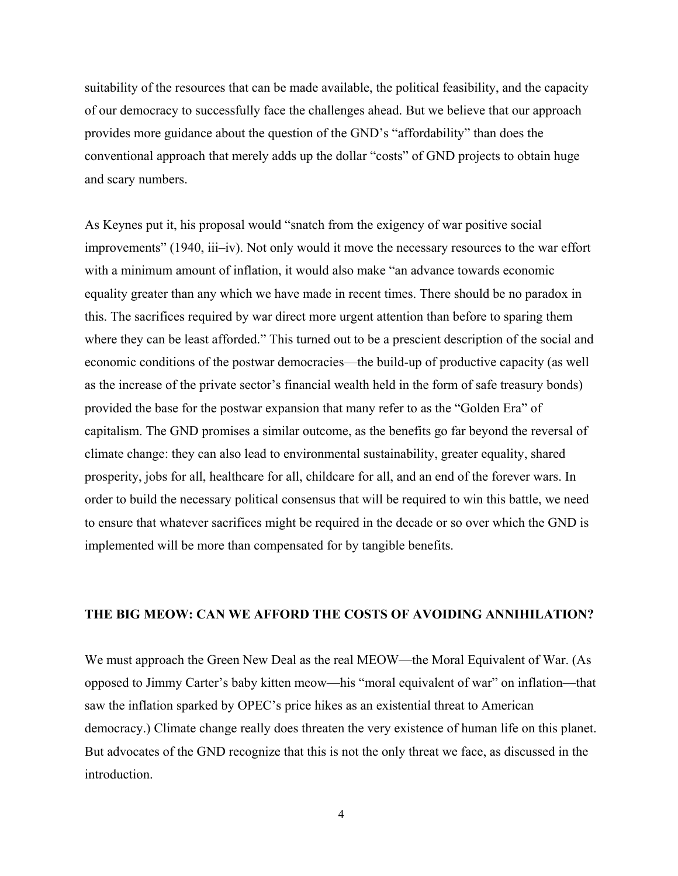suitability of the resources that can be made available, the political feasibility, and the capacity of our democracy to successfully face the challenges ahead. But we believe that our approach provides more guidance about the question of the GND's "affordability" than does the conventional approach that merely adds up the dollar "costs" of GND projects to obtain huge and scary numbers.

As Keynes put it, his proposal would "snatch from the exigency of war positive social improvements" (1940, iii–iv). Not only would it move the necessary resources to the war effort with a minimum amount of inflation, it would also make "an advance towards economic equality greater than any which we have made in recent times. There should be no paradox in this. The sacrifices required by war direct more urgent attention than before to sparing them where they can be least afforded." This turned out to be a prescient description of the social and economic conditions of the postwar democracies—the build-up of productive capacity (as well as the increase of the private sector's financial wealth held in the form of safe treasury bonds) provided the base for the postwar expansion that many refer to as the "Golden Era" of capitalism. The GND promises a similar outcome, as the benefits go far beyond the reversal of climate change: they can also lead to environmental sustainability, greater equality, shared prosperity, jobs for all, healthcare for all, childcare for all, and an end of the forever wars. In order to build the necessary political consensus that will be required to win this battle, we need to ensure that whatever sacrifices might be required in the decade or so over which the GND is implemented will be more than compensated for by tangible benefits.

## **THE BIG MEOW: CAN WE AFFORD THE COSTS OF AVOIDING ANNIHILATION?**

We must approach the Green New Deal as the real MEOW—the Moral Equivalent of War. (As opposed to Jimmy Carter's baby kitten meow—his "moral equivalent of war" on inflation—that saw the inflation sparked by OPEC's price hikes as an existential threat to American democracy.) Climate change really does threaten the very existence of human life on this planet. But advocates of the GND recognize that this is not the only threat we face, as discussed in the introduction.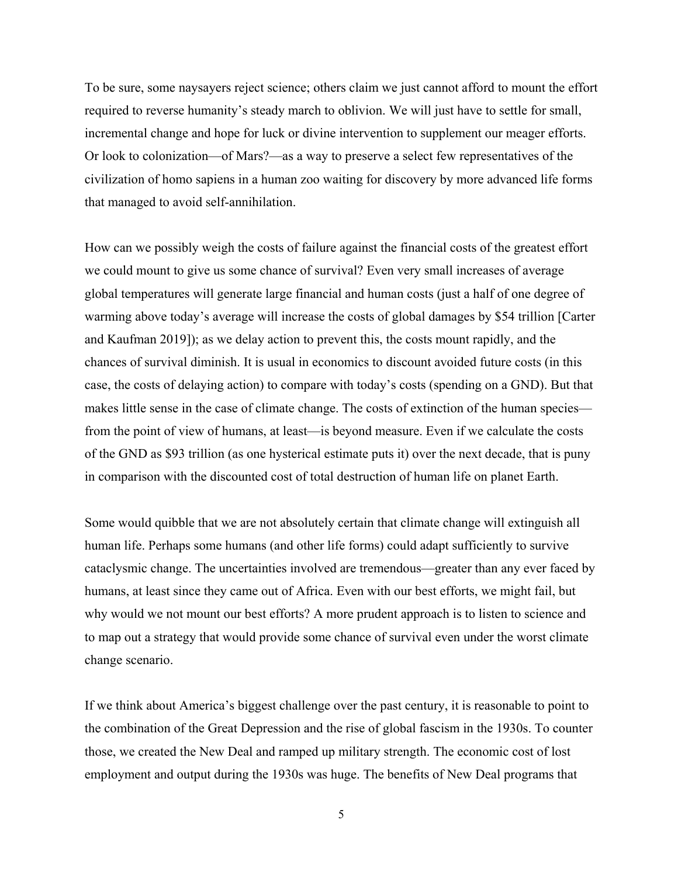To be sure, some naysayers reject science; others claim we just cannot afford to mount the effort required to reverse humanity's steady march to oblivion. We will just have to settle for small, incremental change and hope for luck or divine intervention to supplement our meager efforts. Or look to colonization—of Mars?—as a way to preserve a select few representatives of the civilization of homo sapiens in a human zoo waiting for discovery by more advanced life forms that managed to avoid self-annihilation.

How can we possibly weigh the costs of failure against the financial costs of the greatest effort we could mount to give us some chance of survival? Even very small increases of average global temperatures will generate large financial and human costs (just a half of one degree of warming above today's average will increase the costs of global damages by \$54 trillion [Carter and Kaufman 2019]); as we delay action to prevent this, the costs mount rapidly, and the chances of survival diminish. It is usual in economics to discount avoided future costs (in this case, the costs of delaying action) to compare with today's costs (spending on a GND). But that makes little sense in the case of climate change. The costs of extinction of the human species from the point of view of humans, at least—is beyond measure. Even if we calculate the costs of the GND as \$93 trillion (as one hysterical estimate puts it) over the next decade, that is puny in comparison with the discounted cost of total destruction of human life on planet Earth.

Some would quibble that we are not absolutely certain that climate change will extinguish all human life. Perhaps some humans (and other life forms) could adapt sufficiently to survive cataclysmic change. The uncertainties involved are tremendous—greater than any ever faced by humans, at least since they came out of Africa. Even with our best efforts, we might fail, but why would we not mount our best efforts? A more prudent approach is to listen to science and to map out a strategy that would provide some chance of survival even under the worst climate change scenario.

If we think about America's biggest challenge over the past century, it is reasonable to point to the combination of the Great Depression and the rise of global fascism in the 1930s. To counter those, we created the New Deal and ramped up military strength. The economic cost of lost employment and output during the 1930s was huge. The benefits of New Deal programs that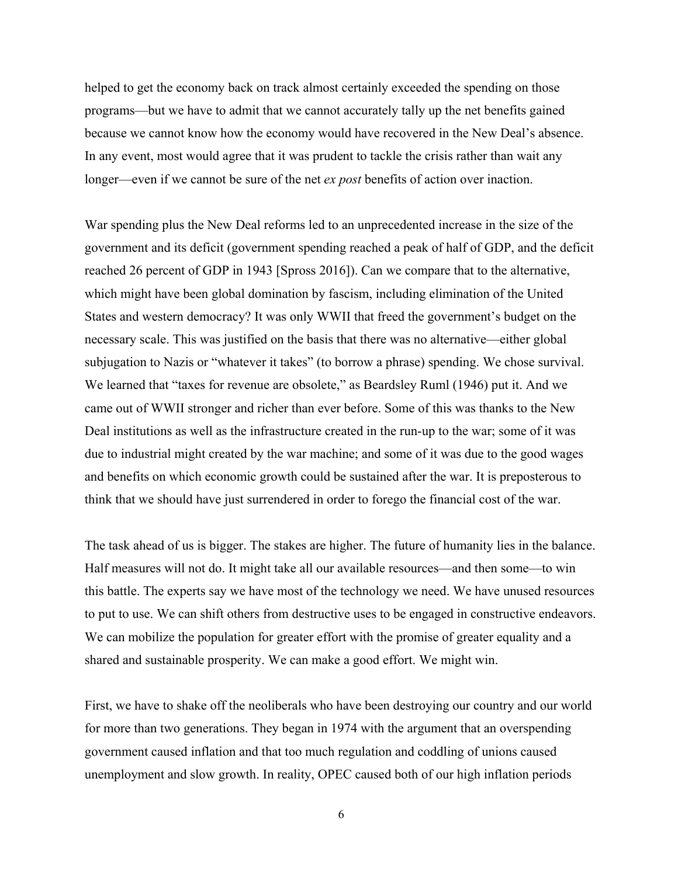helped to get the economy back on track almost certainly exceeded the spending on those programs—but we have to admit that we cannot accurately tally up the net benefits gained because we cannot know how the economy would have recovered in the New Deal's absence. In any event, most would agree that it was prudent to tackle the crisis rather than wait any longer—even if we cannot be sure of the net *ex post* benefits of action over inaction.

War spending plus the New Deal reforms led to an unprecedented increase in the size of the government and its deficit (government spending reached a peak of half of GDP, and the deficit reached 26 percent of GDP in 1943 [Spross 2016]). Can we compare that to the alternative, which might have been global domination by fascism, including elimination of the United States and western democracy? It was only WWII that freed the government's budget on the necessary scale. This was justified on the basis that there was no alternative—either global subjugation to Nazis or "whatever it takes" (to borrow a phrase) spending. We chose survival. We learned that "taxes for revenue are obsolete," as Beardsley Ruml (1946) put it. And we came out of WWII stronger and richer than ever before. Some of this was thanks to the New Deal institutions as well as the infrastructure created in the run-up to the war; some of it was due to industrial might created by the war machine; and some of it was due to the good wages and benefits on which economic growth could be sustained after the war. It is preposterous to think that we should have just surrendered in order to forego the financial cost of the war.

The task ahead of us is bigger. The stakes are higher. The future of humanity lies in the balance. Half measures will not do. It might take all our available resources—and then some—to win this battle. The experts say we have most of the technology we need. We have unused resources to put to use. We can shift others from destructive uses to be engaged in constructive endeavors. We can mobilize the population for greater effort with the promise of greater equality and a shared and sustainable prosperity. We can make a good effort. We might win.

First, we have to shake off the neoliberals who have been destroying our country and our world for more than two generations. They began in 1974 with the argument that an overspending government caused inflation and that too much regulation and coddling of unions caused unemployment and slow growth. In reality, OPEC caused both of our high inflation periods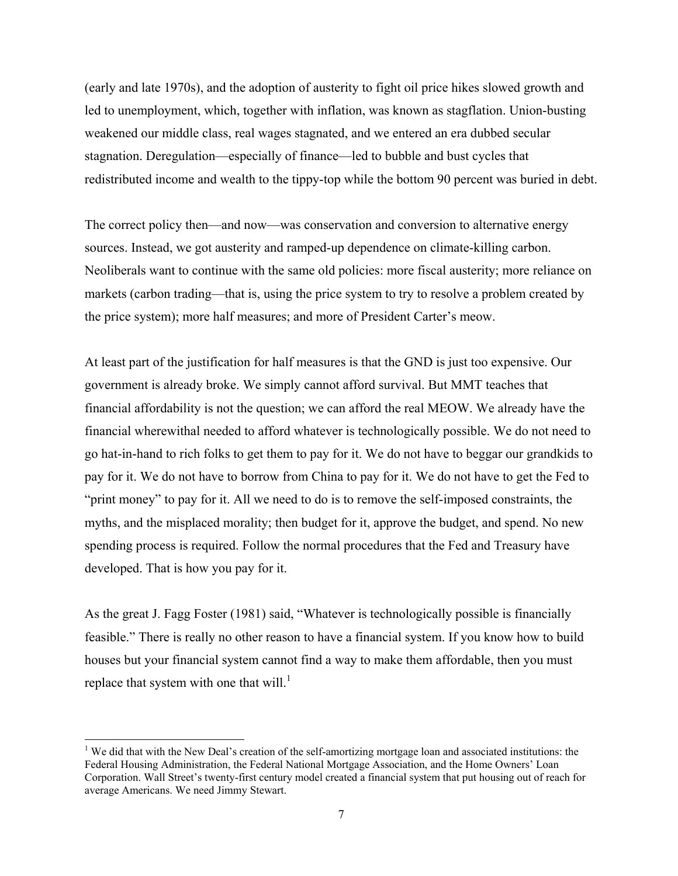(early and late 1970s), and the adoption of austerity to fight oil price hikes slowed growth and led to unemployment, which, together with inflation, was known as stagflation. Union-busting weakened our middle class, real wages stagnated, and we entered an era dubbed secular stagnation. Deregulation—especially of finance—led to bubble and bust cycles that redistributed income and wealth to the tippy-top while the bottom 90 percent was buried in debt.

The correct policy then—and now—was conservation and conversion to alternative energy sources. Instead, we got austerity and ramped-up dependence on climate-killing carbon. Neoliberals want to continue with the same old policies: more fiscal austerity; more reliance on markets (carbon trading—that is, using the price system to try to resolve a problem created by the price system); more half measures; and more of President Carter's meow.

At least part of the justification for half measures is that the GND is just too expensive. Our government is already broke. We simply cannot afford survival. But MMT teaches that financial affordability is not the question; we can afford the real MEOW. We already have the financial wherewithal needed to afford whatever is technologically possible. We do not need to go hat-in-hand to rich folks to get them to pay for it. We do not have to beggar our grandkids to pay for it. We do not have to borrow from China to pay for it. We do not have to get the Fed to "print money" to pay for it. All we need to do is to remove the self-imposed constraints, the myths, and the misplaced morality; then budget for it, approve the budget, and spend. No new spending process is required. Follow the normal procedures that the Fed and Treasury have developed. That is how you pay for it.

As the great J. Fagg Foster (1981) said, "Whatever is technologically possible is financially feasible." There is really no other reason to have a financial system. If you know how to build houses but your financial system cannot find a way to make them affordable, then you must replace that system with one that will.<sup>1</sup>

<sup>&</sup>lt;sup>1</sup> We did that with the New Deal's creation of the self-amortizing mortgage loan and associated institutions: the Federal Housing Administration, the Federal National Mortgage Association, and the Home Owners' Loan Corporation. Wall Street's twenty-first century model created a financial system that put housing out of reach for average Americans. We need Jimmy Stewart.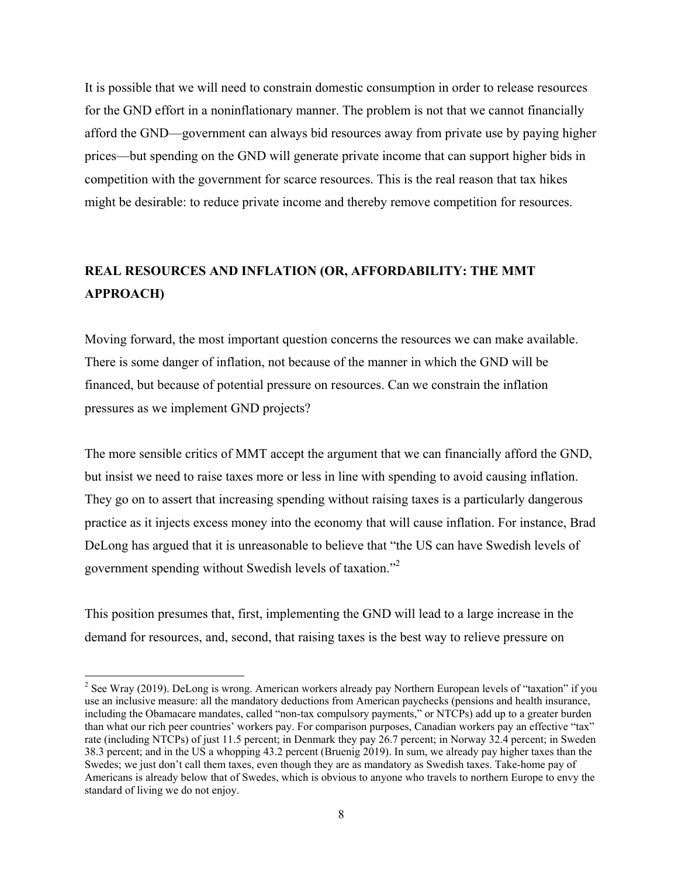It is possible that we will need to constrain domestic consumption in order to release resources for the GND effort in a noninflationary manner. The problem is not that we cannot financially afford the GND—government can always bid resources away from private use by paying higher prices—but spending on the GND will generate private income that can support higher bids in competition with the government for scarce resources. This is the real reason that tax hikes might be desirable: to reduce private income and thereby remove competition for resources.

# **REAL RESOURCES AND INFLATION (OR, AFFORDABILITY: THE MMT APPROACH)**

Moving forward, the most important question concerns the resources we can make available. There is some danger of inflation, not because of the manner in which the GND will be financed, but because of potential pressure on resources. Can we constrain the inflation pressures as we implement GND projects?

The more sensible critics of MMT accept the argument that we can financially afford the GND, but insist we need to raise taxes more or less in line with spending to avoid causing inflation. They go on to assert that increasing spending without raising taxes is a particularly dangerous practice as it injects excess money into the economy that will cause inflation. For instance, Brad DeLong has argued that it is unreasonable to believe that "the US can have Swedish levels of government spending without Swedish levels of taxation."<sup>2</sup>

This position presumes that, first, implementing the GND will lead to a large increase in the demand for resources, and, second, that raising taxes is the best way to relieve pressure on

<sup>&</sup>lt;sup>2</sup> See Wray (2019). DeLong is wrong. American workers already pay Northern European levels of "taxation" if you use an inclusive measure: all the mandatory deductions from American paychecks (pensions and health insurance, including the Obamacare mandates, called "non-tax compulsory payments," or NTCPs) add up to a greater burden than what our rich peer countries' workers pay. For comparison purposes, Canadian workers pay an effective "tax" rate (including NTCPs) of just 11.5 percent; in Denmark they pay 26.7 percent; in Norway 32.4 percent; in Sweden 38.3 percent; and in the US a whopping 43.2 percent (Bruenig 2019). In sum, we already pay higher taxes than the Swedes; we just don't call them taxes, even though they are as mandatory as Swedish taxes. Take-home pay of Americans is already below that of Swedes, which is obvious to anyone who travels to northern Europe to envy the standard of living we do not enjoy.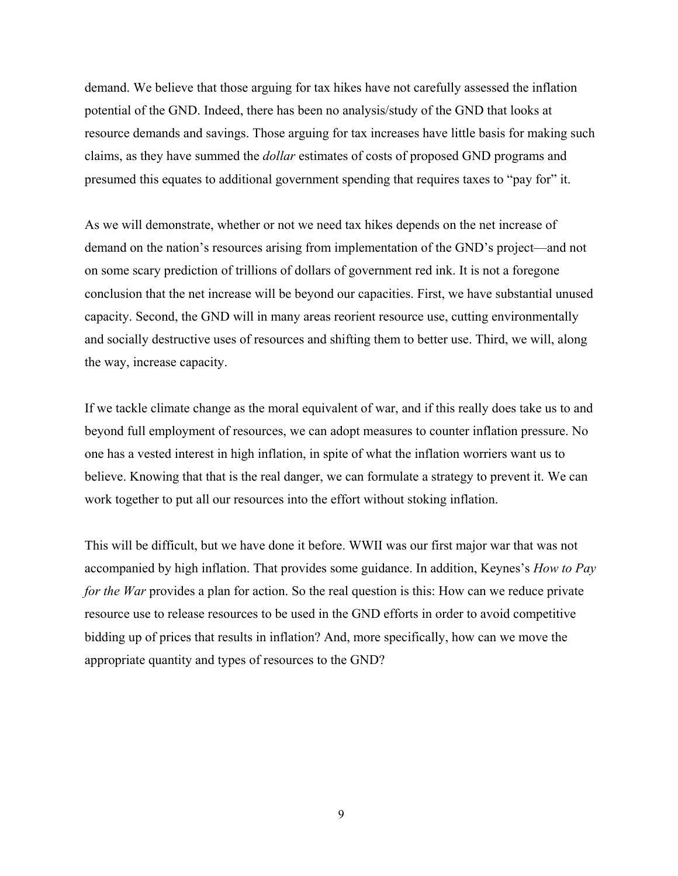demand. We believe that those arguing for tax hikes have not carefully assessed the inflation potential of the GND. Indeed, there has been no analysis/study of the GND that looks at resource demands and savings. Those arguing for tax increases have little basis for making such claims, as they have summed the *dollar* estimates of costs of proposed GND programs and presumed this equates to additional government spending that requires taxes to "pay for" it.

As we will demonstrate, whether or not we need tax hikes depends on the net increase of demand on the nation's resources arising from implementation of the GND's project—and not on some scary prediction of trillions of dollars of government red ink. It is not a foregone conclusion that the net increase will be beyond our capacities. First, we have substantial unused capacity. Second, the GND will in many areas reorient resource use, cutting environmentally and socially destructive uses of resources and shifting them to better use. Third, we will, along the way, increase capacity.

If we tackle climate change as the moral equivalent of war, and if this really does take us to and beyond full employment of resources, we can adopt measures to counter inflation pressure. No one has a vested interest in high inflation, in spite of what the inflation worriers want us to believe. Knowing that that is the real danger, we can formulate a strategy to prevent it. We can work together to put all our resources into the effort without stoking inflation.

This will be difficult, but we have done it before. WWII was our first major war that was not accompanied by high inflation. That provides some guidance. In addition, Keynes's *How to Pay for the War* provides a plan for action. So the real question is this: How can we reduce private resource use to release resources to be used in the GND efforts in order to avoid competitive bidding up of prices that results in inflation? And, more specifically, how can we move the appropriate quantity and types of resources to the GND?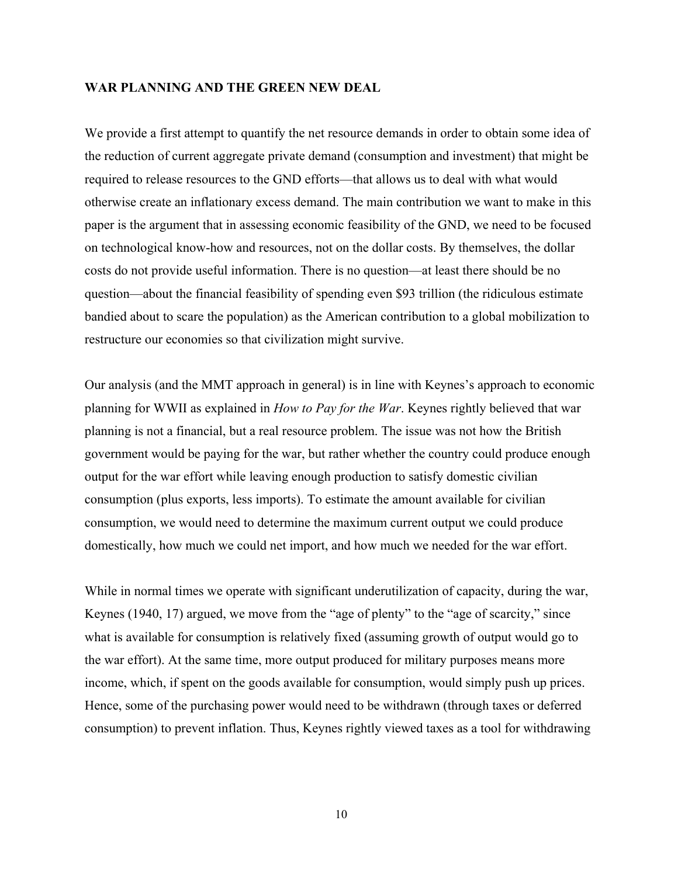### **WAR PLANNING AND THE GREEN NEW DEAL**

We provide a first attempt to quantify the net resource demands in order to obtain some idea of the reduction of current aggregate private demand (consumption and investment) that might be required to release resources to the GND efforts—that allows us to deal with what would otherwise create an inflationary excess demand. The main contribution we want to make in this paper is the argument that in assessing economic feasibility of the GND, we need to be focused on technological know-how and resources, not on the dollar costs. By themselves, the dollar costs do not provide useful information. There is no question—at least there should be no question—about the financial feasibility of spending even \$93 trillion (the ridiculous estimate bandied about to scare the population) as the American contribution to a global mobilization to restructure our economies so that civilization might survive.

Our analysis (and the MMT approach in general) is in line with Keynes's approach to economic planning for WWII as explained in *How to Pay for the War*. Keynes rightly believed that war planning is not a financial, but a real resource problem. The issue was not how the British government would be paying for the war, but rather whether the country could produce enough output for the war effort while leaving enough production to satisfy domestic civilian consumption (plus exports, less imports). To estimate the amount available for civilian consumption, we would need to determine the maximum current output we could produce domestically, how much we could net import, and how much we needed for the war effort.

While in normal times we operate with significant underutilization of capacity, during the war, Keynes (1940, 17) argued, we move from the "age of plenty" to the "age of scarcity," since what is available for consumption is relatively fixed (assuming growth of output would go to the war effort). At the same time, more output produced for military purposes means more income, which, if spent on the goods available for consumption, would simply push up prices. Hence, some of the purchasing power would need to be withdrawn (through taxes or deferred consumption) to prevent inflation. Thus, Keynes rightly viewed taxes as a tool for withdrawing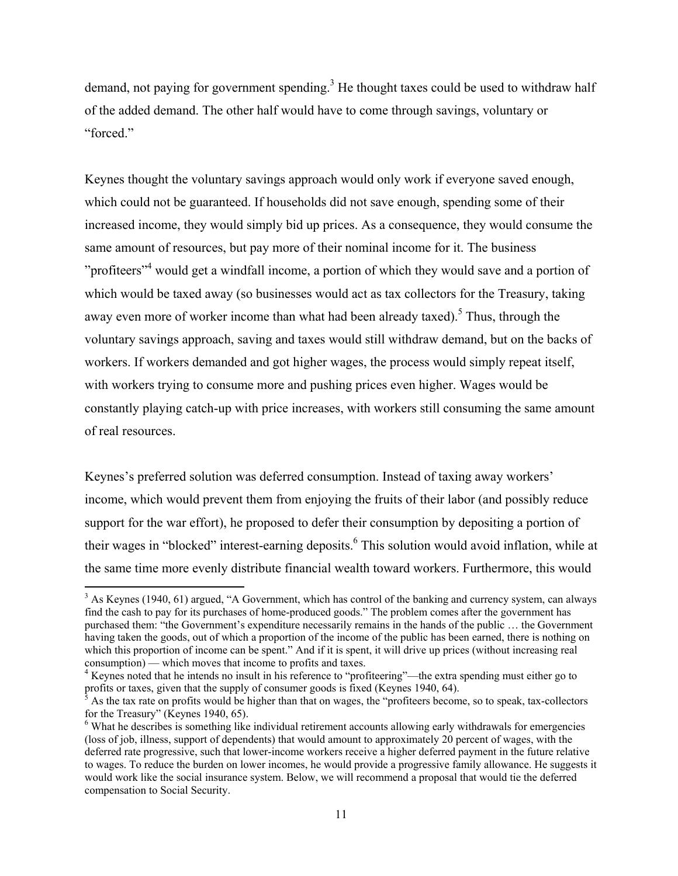demand, not paying for government spending.<sup>3</sup> He thought taxes could be used to withdraw half of the added demand. The other half would have to come through savings, voluntary or "forced."

Keynes thought the voluntary savings approach would only work if everyone saved enough, which could not be guaranteed. If households did not save enough, spending some of their increased income, they would simply bid up prices. As a consequence, they would consume the same amount of resources, but pay more of their nominal income for it. The business "profiteers"<sup>4</sup> would get a windfall income, a portion of which they would save and a portion of which would be taxed away (so businesses would act as tax collectors for the Treasury, taking away even more of worker income than what had been already taxed).<sup>5</sup> Thus, through the voluntary savings approach, saving and taxes would still withdraw demand, but on the backs of workers. If workers demanded and got higher wages, the process would simply repeat itself, with workers trying to consume more and pushing prices even higher. Wages would be constantly playing catch-up with price increases, with workers still consuming the same amount of real resources.

Keynes's preferred solution was deferred consumption. Instead of taxing away workers' income, which would prevent them from enjoying the fruits of their labor (and possibly reduce support for the war effort), he proposed to defer their consumption by depositing a portion of their wages in "blocked" interest-earning deposits. <sup>6</sup> This solution would avoid inflation, while at the same time more evenly distribute financial wealth toward workers. Furthermore, this would

 $3$  As Keynes (1940, 61) argued, "A Government, which has control of the banking and currency system, can always find the cash to pay for its purchases of home-produced goods." The problem comes after the government has purchased them: "the Government's expenditure necessarily remains in the hands of the public … the Government having taken the goods, out of which a proportion of the income of the public has been earned, there is nothing on which this proportion of income can be spent." And if it is spent, it will drive up prices (without increasing real consumption) — which moves that income to profits and taxes.

<sup>&</sup>lt;sup>4</sup> Keynes noted that he intends no insult in his reference to "profiteering"—the extra spending must either go to profits or taxes, given that the supply of consumer goods is fixed (Keynes 1940, 64).

<sup>5</sup> As the tax rate on profits would be higher than that on wages, the "profiteers become, so to speak, tax-collectors for the Treasury" (Keynes 1940, 65).

<sup>&</sup>lt;sup>6</sup> What he describes is something like individual retirement accounts allowing early withdrawals for emergencies (loss of job, illness, support of dependents) that would amount to approximately 20 percent of wages, with the deferred rate progressive, such that lower-income workers receive a higher deferred payment in the future relative to wages. To reduce the burden on lower incomes, he would provide a progressive family allowance. He suggests it would work like the social insurance system. Below, we will recommend a proposal that would tie the deferred compensation to Social Security.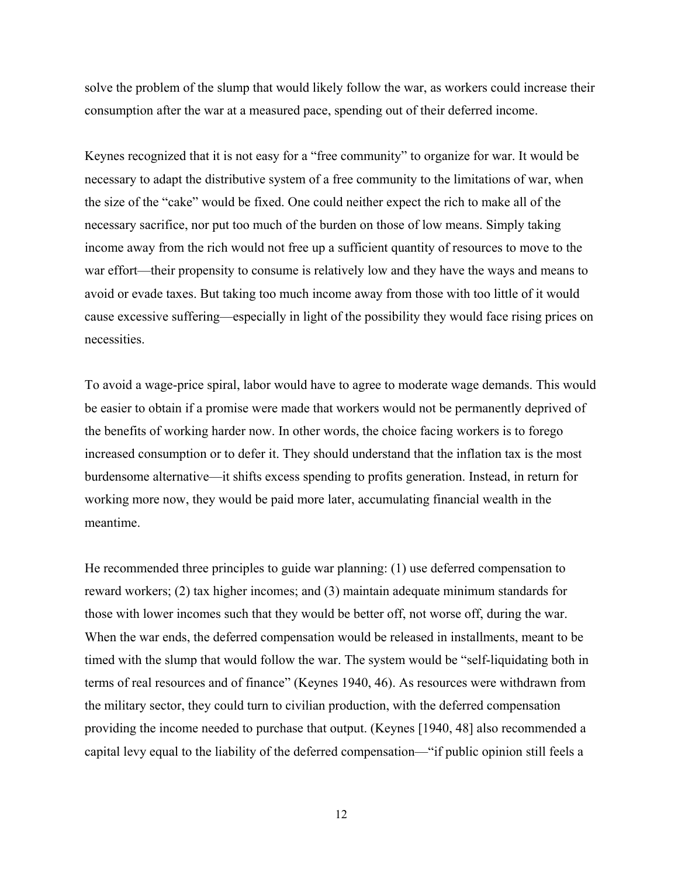solve the problem of the slump that would likely follow the war, as workers could increase their consumption after the war at a measured pace, spending out of their deferred income.

Keynes recognized that it is not easy for a "free community" to organize for war. It would be necessary to adapt the distributive system of a free community to the limitations of war, when the size of the "cake" would be fixed. One could neither expect the rich to make all of the necessary sacrifice, nor put too much of the burden on those of low means. Simply taking income away from the rich would not free up a sufficient quantity of resources to move to the war effort—their propensity to consume is relatively low and they have the ways and means to avoid or evade taxes. But taking too much income away from those with too little of it would cause excessive suffering—especially in light of the possibility they would face rising prices on necessities.

To avoid a wage-price spiral, labor would have to agree to moderate wage demands. This would be easier to obtain if a promise were made that workers would not be permanently deprived of the benefits of working harder now. In other words, the choice facing workers is to forego increased consumption or to defer it. They should understand that the inflation tax is the most burdensome alternative—it shifts excess spending to profits generation. Instead, in return for working more now, they would be paid more later, accumulating financial wealth in the meantime.

He recommended three principles to guide war planning: (1) use deferred compensation to reward workers; (2) tax higher incomes; and (3) maintain adequate minimum standards for those with lower incomes such that they would be better off, not worse off, during the war. When the war ends, the deferred compensation would be released in installments, meant to be timed with the slump that would follow the war. The system would be "self-liquidating both in terms of real resources and of finance" (Keynes 1940, 46). As resources were withdrawn from the military sector, they could turn to civilian production, with the deferred compensation providing the income needed to purchase that output. (Keynes [1940, 48] also recommended a capital levy equal to the liability of the deferred compensation—"if public opinion still feels a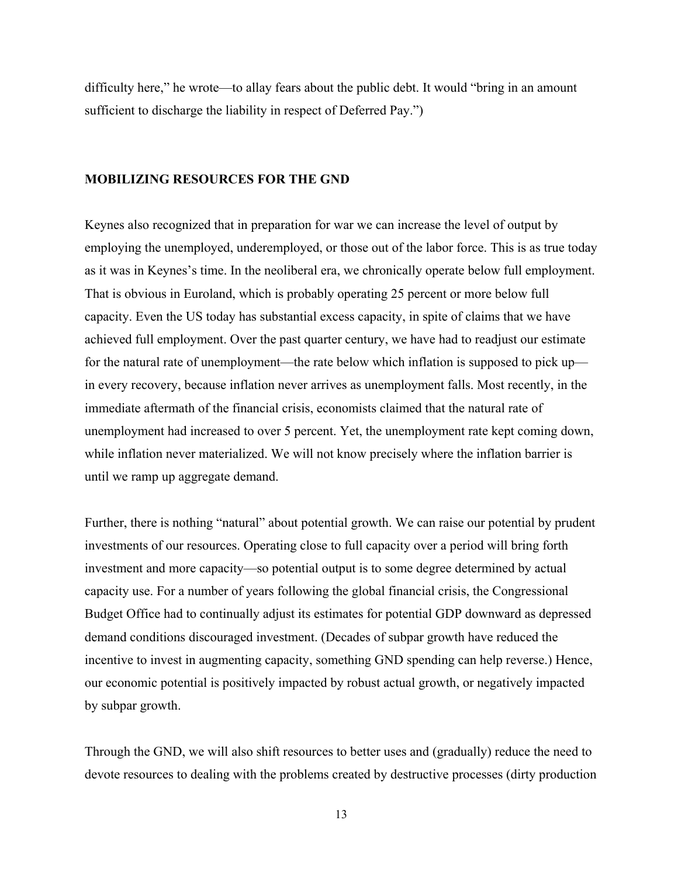difficulty here," he wrote—to allay fears about the public debt. It would "bring in an amount sufficient to discharge the liability in respect of Deferred Pay.")

### **MOBILIZING RESOURCES FOR THE GND**

Keynes also recognized that in preparation for war we can increase the level of output by employing the unemployed, underemployed, or those out of the labor force. This is as true today as it was in Keynes's time. In the neoliberal era, we chronically operate below full employment. That is obvious in Euroland, which is probably operating 25 percent or more below full capacity. Even the US today has substantial excess capacity, in spite of claims that we have achieved full employment. Over the past quarter century, we have had to readjust our estimate for the natural rate of unemployment—the rate below which inflation is supposed to pick up in every recovery, because inflation never arrives as unemployment falls. Most recently, in the immediate aftermath of the financial crisis, economists claimed that the natural rate of unemployment had increased to over 5 percent. Yet, the unemployment rate kept coming down, while inflation never materialized. We will not know precisely where the inflation barrier is until we ramp up aggregate demand.

Further, there is nothing "natural" about potential growth. We can raise our potential by prudent investments of our resources. Operating close to full capacity over a period will bring forth investment and more capacity—so potential output is to some degree determined by actual capacity use. For a number of years following the global financial crisis, the Congressional Budget Office had to continually adjust its estimates for potential GDP downward as depressed demand conditions discouraged investment. (Decades of subpar growth have reduced the incentive to invest in augmenting capacity, something GND spending can help reverse.) Hence, our economic potential is positively impacted by robust actual growth, or negatively impacted by subpar growth.

Through the GND, we will also shift resources to better uses and (gradually) reduce the need to devote resources to dealing with the problems created by destructive processes (dirty production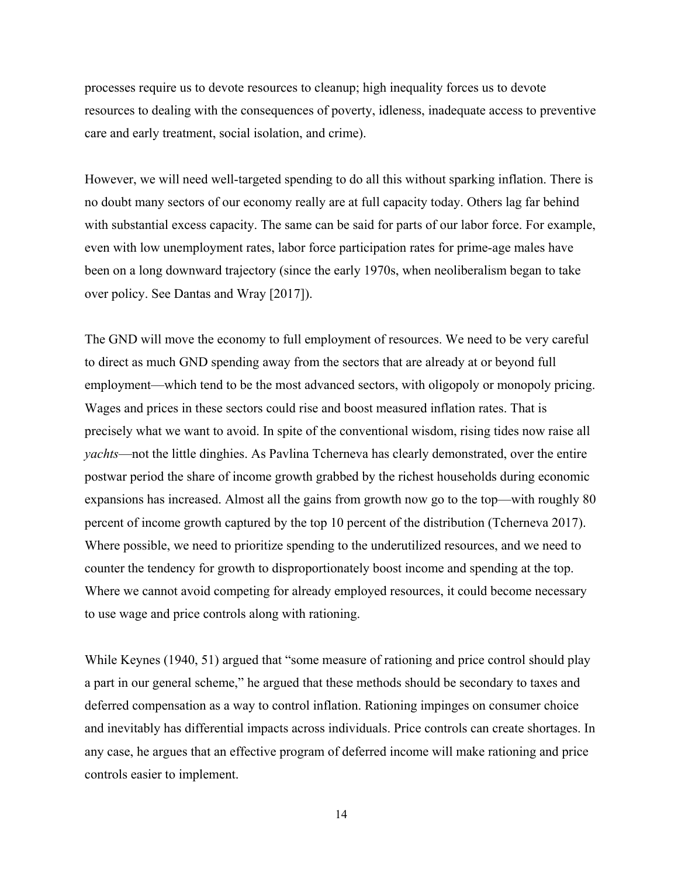processes require us to devote resources to cleanup; high inequality forces us to devote resources to dealing with the consequences of poverty, idleness, inadequate access to preventive care and early treatment, social isolation, and crime).

However, we will need well-targeted spending to do all this without sparking inflation. There is no doubt many sectors of our economy really are at full capacity today. Others lag far behind with substantial excess capacity. The same can be said for parts of our labor force. For example, even with low unemployment rates, labor force participation rates for prime-age males have been on a long downward trajectory (since the early 1970s, when neoliberalism began to take over policy. See Dantas and Wray [2017]).

The GND will move the economy to full employment of resources. We need to be very careful to direct as much GND spending away from the sectors that are already at or beyond full employment—which tend to be the most advanced sectors, with oligopoly or monopoly pricing. Wages and prices in these sectors could rise and boost measured inflation rates. That is precisely what we want to avoid. In spite of the conventional wisdom, rising tides now raise all *yachts*—not the little dinghies. As Pavlina Tcherneva has clearly demonstrated, over the entire postwar period the share of income growth grabbed by the richest households during economic expansions has increased. Almost all the gains from growth now go to the top—with roughly 80 percent of income growth captured by the top 10 percent of the distribution (Tcherneva 2017). Where possible, we need to prioritize spending to the underutilized resources, and we need to counter the tendency for growth to disproportionately boost income and spending at the top. Where we cannot avoid competing for already employed resources, it could become necessary to use wage and price controls along with rationing.

While Keynes (1940, 51) argued that "some measure of rationing and price control should play a part in our general scheme," he argued that these methods should be secondary to taxes and deferred compensation as a way to control inflation. Rationing impinges on consumer choice and inevitably has differential impacts across individuals. Price controls can create shortages. In any case, he argues that an effective program of deferred income will make rationing and price controls easier to implement.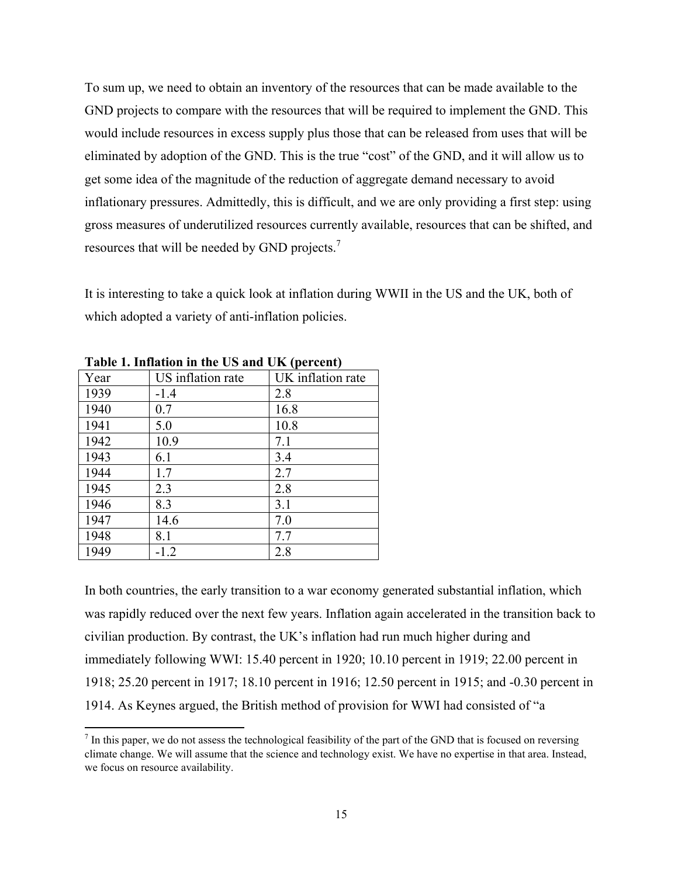To sum up, we need to obtain an inventory of the resources that can be made available to the GND projects to compare with the resources that will be required to implement the GND. This would include resources in excess supply plus those that can be released from uses that will be eliminated by adoption of the GND. This is the true "cost" of the GND, and it will allow us to get some idea of the magnitude of the reduction of aggregate demand necessary to avoid inflationary pressures. Admittedly, this is difficult, and we are only providing a first step: using gross measures of underutilized resources currently available, resources that can be shifted, and resources that will be needed by GND projects.<sup>7</sup>

It is interesting to take a quick look at inflation during WWII in the US and the UK, both of which adopted a variety of anti-inflation policies.

|      | Table 1. Inhardon in the CD and CIR (per cent) |                   |  |
|------|------------------------------------------------|-------------------|--|
| Year | US inflation rate                              | UK inflation rate |  |
| 1939 | $-1.4$                                         | 2.8               |  |
| 1940 | 0.7                                            | 16.8              |  |
| 1941 | 5.0                                            | 10.8              |  |
| 1942 | 10.9                                           | 7.1               |  |
| 1943 | 6.1                                            | 3.4               |  |
| 1944 | 1.7                                            | 2.7               |  |
| 1945 | 2.3                                            | 2.8               |  |
| 1946 | 8.3                                            | 3.1               |  |
| 1947 | 14.6                                           | 7.0               |  |
| 1948 | 8.1                                            | 7.7               |  |
| 1949 | $-1.2$                                         | 2.8               |  |

**Table 1. Inflation in the US and UK (percent)**

In both countries, the early transition to a war economy generated substantial inflation, which was rapidly reduced over the next few years. Inflation again accelerated in the transition back to civilian production. By contrast, the UK's inflation had run much higher during and immediately following WWI: 15.40 percent in 1920; 10.10 percent in 1919; 22.00 percent in 1918; 25.20 percent in 1917; 18.10 percent in 1916; 12.50 percent in 1915; and -0.30 percent in 1914. As Keynes argued, the British method of provision for WWI had consisted of "a

 $<sup>7</sup>$  In this paper, we do not assess the technological feasibility of the part of the GND that is focused on reversing</sup> climate change. We will assume that the science and technology exist. We have no expertise in that area. Instead, we focus on resource availability.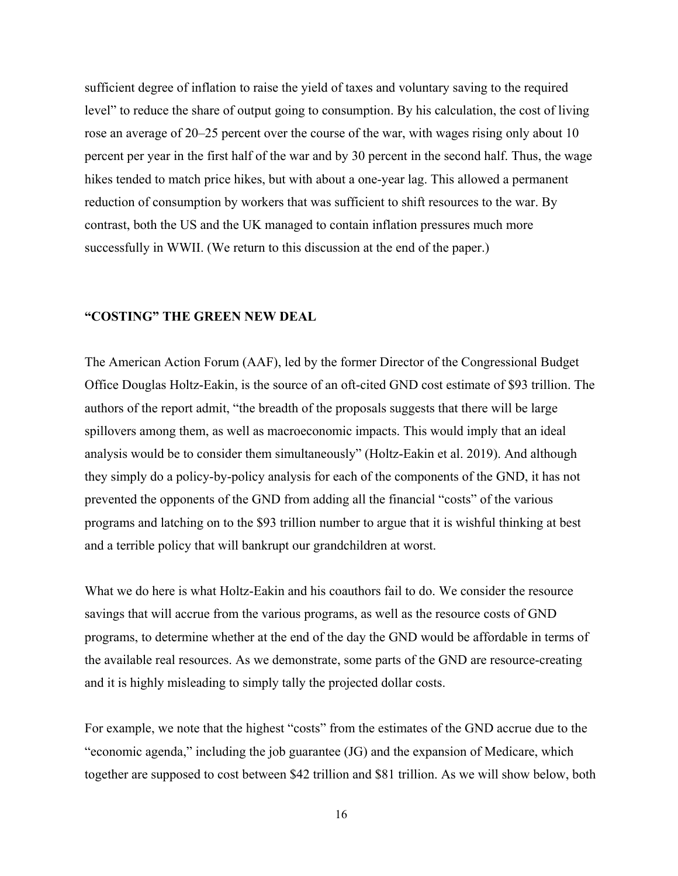sufficient degree of inflation to raise the yield of taxes and voluntary saving to the required level" to reduce the share of output going to consumption. By his calculation, the cost of living rose an average of 20–25 percent over the course of the war, with wages rising only about 10 percent per year in the first half of the war and by 30 percent in the second half. Thus, the wage hikes tended to match price hikes, but with about a one-year lag. This allowed a permanent reduction of consumption by workers that was sufficient to shift resources to the war. By contrast, both the US and the UK managed to contain inflation pressures much more successfully in WWII. (We return to this discussion at the end of the paper.)

## **"COSTING" THE GREEN NEW DEAL**

The American Action Forum (AAF), led by the former Director of the Congressional Budget Office Douglas Holtz-Eakin, is the source of an oft-cited GND cost estimate of \$93 trillion. The authors of the report admit, "the breadth of the proposals suggests that there will be large spillovers among them, as well as macroeconomic impacts. This would imply that an ideal analysis would be to consider them simultaneously" (Holtz-Eakin et al. 2019). And although they simply do a policy-by-policy analysis for each of the components of the GND, it has not prevented the opponents of the GND from adding all the financial "costs" of the various programs and latching on to the \$93 trillion number to argue that it is wishful thinking at best and a terrible policy that will bankrupt our grandchildren at worst.

What we do here is what Holtz-Eakin and his coauthors fail to do. We consider the resource savings that will accrue from the various programs, as well as the resource costs of GND programs, to determine whether at the end of the day the GND would be affordable in terms of the available real resources. As we demonstrate, some parts of the GND are resource-creating and it is highly misleading to simply tally the projected dollar costs.

For example, we note that the highest "costs" from the estimates of the GND accrue due to the "economic agenda," including the job guarantee (JG) and the expansion of Medicare, which together are supposed to cost between \$42 trillion and \$81 trillion. As we will show below, both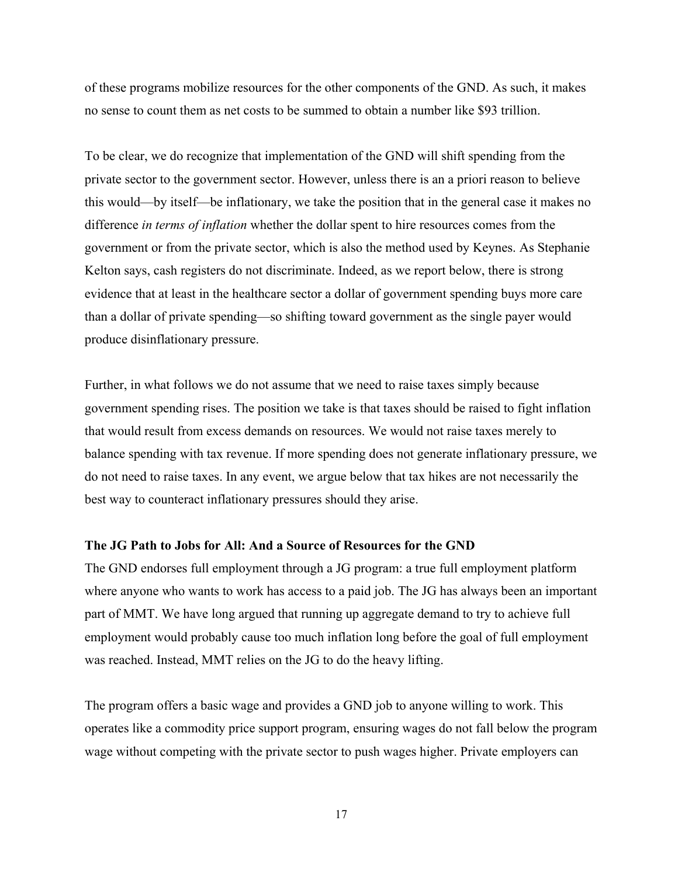of these programs mobilize resources for the other components of the GND. As such, it makes no sense to count them as net costs to be summed to obtain a number like \$93 trillion.

To be clear, we do recognize that implementation of the GND will shift spending from the private sector to the government sector. However, unless there is an a priori reason to believe this would—by itself—be inflationary, we take the position that in the general case it makes no difference *in terms of inflation* whether the dollar spent to hire resources comes from the government or from the private sector, which is also the method used by Keynes. As Stephanie Kelton says, cash registers do not discriminate. Indeed, as we report below, there is strong evidence that at least in the healthcare sector a dollar of government spending buys more care than a dollar of private spending—so shifting toward government as the single payer would produce disinflationary pressure.

Further, in what follows we do not assume that we need to raise taxes simply because government spending rises. The position we take is that taxes should be raised to fight inflation that would result from excess demands on resources. We would not raise taxes merely to balance spending with tax revenue. If more spending does not generate inflationary pressure, we do not need to raise taxes. In any event, we argue below that tax hikes are not necessarily the best way to counteract inflationary pressures should they arise.

### **The JG Path to Jobs for All: And a Source of Resources for the GND**

The GND endorses full employment through a JG program: a true full employment platform where anyone who wants to work has access to a paid job. The JG has always been an important part of MMT. We have long argued that running up aggregate demand to try to achieve full employment would probably cause too much inflation long before the goal of full employment was reached. Instead, MMT relies on the JG to do the heavy lifting.

The program offers a basic wage and provides a GND job to anyone willing to work. This operates like a commodity price support program, ensuring wages do not fall below the program wage without competing with the private sector to push wages higher. Private employers can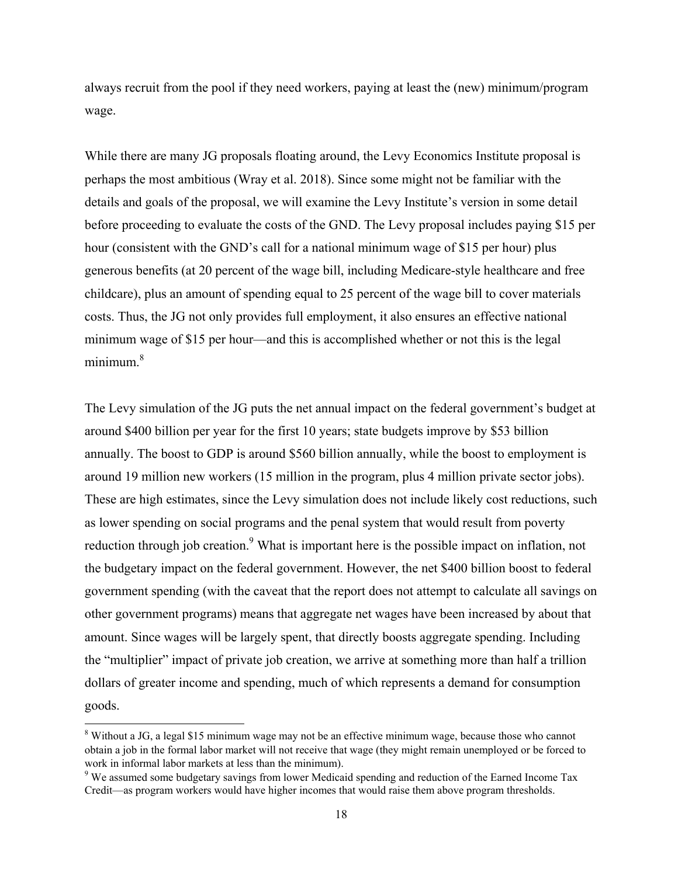always recruit from the pool if they need workers, paying at least the (new) minimum/program wage.

While there are many JG proposals floating around, the Levy Economics Institute proposal is perhaps the most ambitious (Wray et al. 2018). Since some might not be familiar with the details and goals of the proposal, we will examine the Levy Institute's version in some detail before proceeding to evaluate the costs of the GND. The Levy proposal includes paying \$15 per hour (consistent with the GND's call for a national minimum wage of \$15 per hour) plus generous benefits (at 20 percent of the wage bill, including Medicare-style healthcare and free childcare), plus an amount of spending equal to 25 percent of the wage bill to cover materials costs. Thus, the JG not only provides full employment, it also ensures an effective national minimum wage of \$15 per hour—and this is accomplished whether or not this is the legal  $minimum<sup>8</sup>$ 

The Levy simulation of the JG puts the net annual impact on the federal government's budget at around \$400 billion per year for the first 10 years; state budgets improve by \$53 billion annually. The boost to GDP is around \$560 billion annually, while the boost to employment is around 19 million new workers (15 million in the program, plus 4 million private sector jobs). These are high estimates, since the Levy simulation does not include likely cost reductions, such as lower spending on social programs and the penal system that would result from poverty reduction through job creation.<sup>9</sup> What is important here is the possible impact on inflation, not the budgetary impact on the federal government. However, the net \$400 billion boost to federal government spending (with the caveat that the report does not attempt to calculate all savings on other government programs) means that aggregate net wages have been increased by about that amount. Since wages will be largely spent, that directly boosts aggregate spending. Including the "multiplier" impact of private job creation, we arrive at something more than half a trillion dollars of greater income and spending, much of which represents a demand for consumption goods.

<sup>&</sup>lt;sup>8</sup> Without a JG, a legal \$15 minimum wage may not be an effective minimum wage, because those who cannot obtain a job in the formal labor market will not receive that wage (they might remain unemployed or be forced to work in informal labor markets at less than the minimum).

<sup>&</sup>lt;sup>9</sup> We assumed some budgetary savings from lower Medicaid spending and reduction of the Earned Income Tax Credit—as program workers would have higher incomes that would raise them above program thresholds.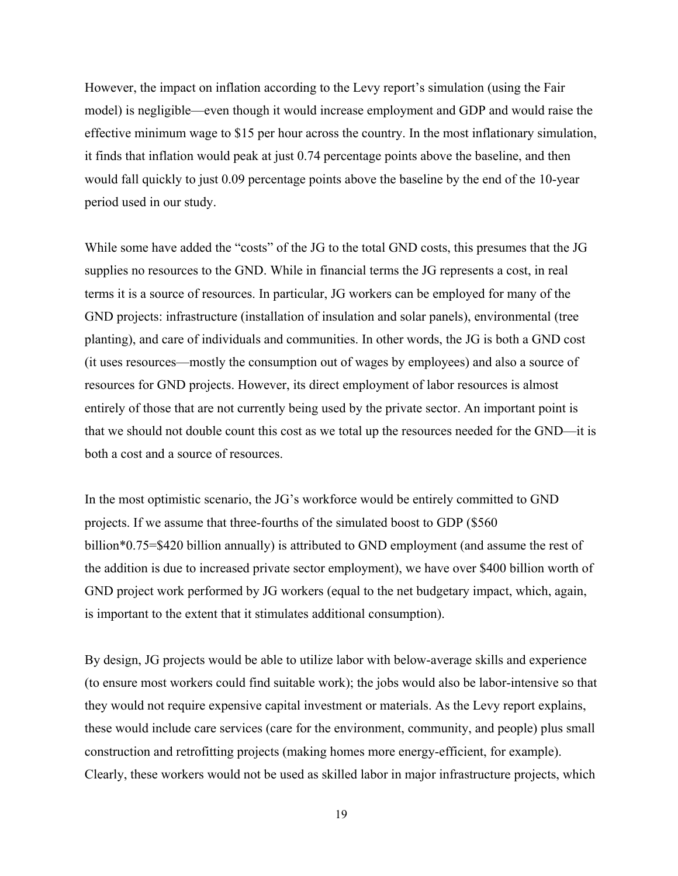However, the impact on inflation according to the Levy report's simulation (using the Fair model) is negligible—even though it would increase employment and GDP and would raise the effective minimum wage to \$15 per hour across the country. In the most inflationary simulation, it finds that inflation would peak at just 0.74 percentage points above the baseline, and then would fall quickly to just 0.09 percentage points above the baseline by the end of the 10-year period used in our study.

While some have added the "costs" of the JG to the total GND costs, this presumes that the JG supplies no resources to the GND. While in financial terms the JG represents a cost, in real terms it is a source of resources. In particular, JG workers can be employed for many of the GND projects: infrastructure (installation of insulation and solar panels), environmental (tree planting), and care of individuals and communities. In other words, the JG is both a GND cost (it uses resources—mostly the consumption out of wages by employees) and also a source of resources for GND projects. However, its direct employment of labor resources is almost entirely of those that are not currently being used by the private sector. An important point is that we should not double count this cost as we total up the resources needed for the GND—it is both a cost and a source of resources.

In the most optimistic scenario, the JG's workforce would be entirely committed to GND projects. If we assume that three-fourths of the simulated boost to GDP (\$560 billion\*0.75=\$420 billion annually) is attributed to GND employment (and assume the rest of the addition is due to increased private sector employment), we have over \$400 billion worth of GND project work performed by JG workers (equal to the net budgetary impact, which, again, is important to the extent that it stimulates additional consumption).

By design, JG projects would be able to utilize labor with below-average skills and experience (to ensure most workers could find suitable work); the jobs would also be labor-intensive so that they would not require expensive capital investment or materials. As the Levy report explains, these would include care services (care for the environment, community, and people) plus small construction and retrofitting projects (making homes more energy-efficient, for example). Clearly, these workers would not be used as skilled labor in major infrastructure projects, which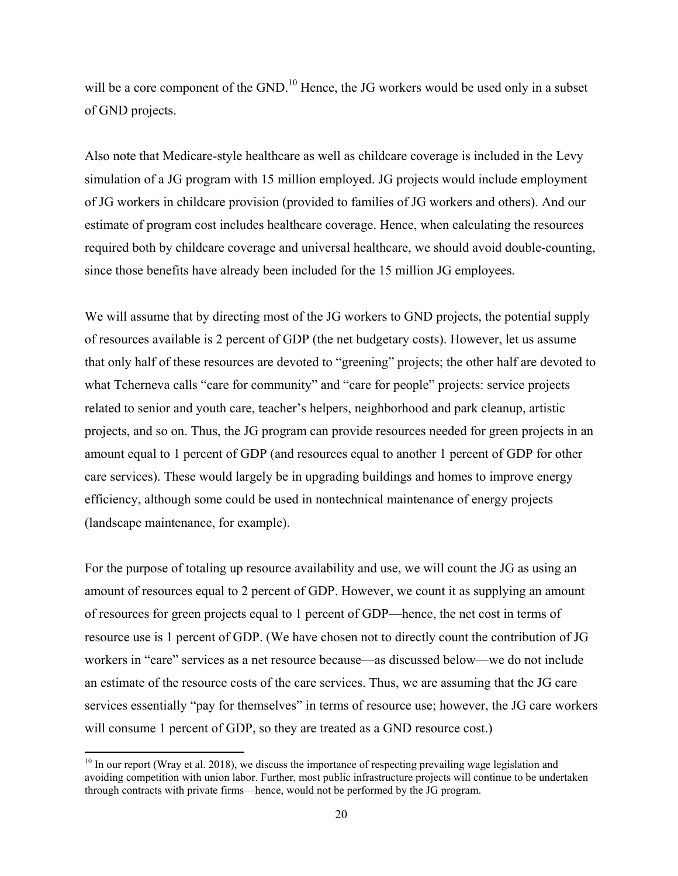will be a core component of the GND.<sup>10</sup> Hence, the JG workers would be used only in a subset of GND projects.

Also note that Medicare-style healthcare as well as childcare coverage is included in the Levy simulation of a JG program with 15 million employed. JG projects would include employment of JG workers in childcare provision (provided to families of JG workers and others). And our estimate of program cost includes healthcare coverage. Hence, when calculating the resources required both by childcare coverage and universal healthcare, we should avoid double-counting, since those benefits have already been included for the 15 million JG employees.

We will assume that by directing most of the JG workers to GND projects, the potential supply of resources available is 2 percent of GDP (the net budgetary costs). However, let us assume that only half of these resources are devoted to "greening" projects; the other half are devoted to what Tcherneva calls "care for community" and "care for people" projects: service projects related to senior and youth care, teacher's helpers, neighborhood and park cleanup, artistic projects, and so on. Thus, the JG program can provide resources needed for green projects in an amount equal to 1 percent of GDP (and resources equal to another 1 percent of GDP for other care services). These would largely be in upgrading buildings and homes to improve energy efficiency, although some could be used in nontechnical maintenance of energy projects (landscape maintenance, for example).

For the purpose of totaling up resource availability and use, we will count the JG as using an amount of resources equal to 2 percent of GDP. However, we count it as supplying an amount of resources for green projects equal to 1 percent of GDP—hence, the net cost in terms of resource use is 1 percent of GDP. (We have chosen not to directly count the contribution of JG workers in "care" services as a net resource because—as discussed below—we do not include an estimate of the resource costs of the care services. Thus, we are assuming that the JG care services essentially "pay for themselves" in terms of resource use; however, the JG care workers will consume 1 percent of GDP, so they are treated as a GND resource cost.)

 $10$  In our report (Wray et al. 2018), we discuss the importance of respecting prevailing wage legislation and avoiding competition with union labor. Further, most public infrastructure projects will continue to be undertaken through contracts with private firms—hence, would not be performed by the JG program.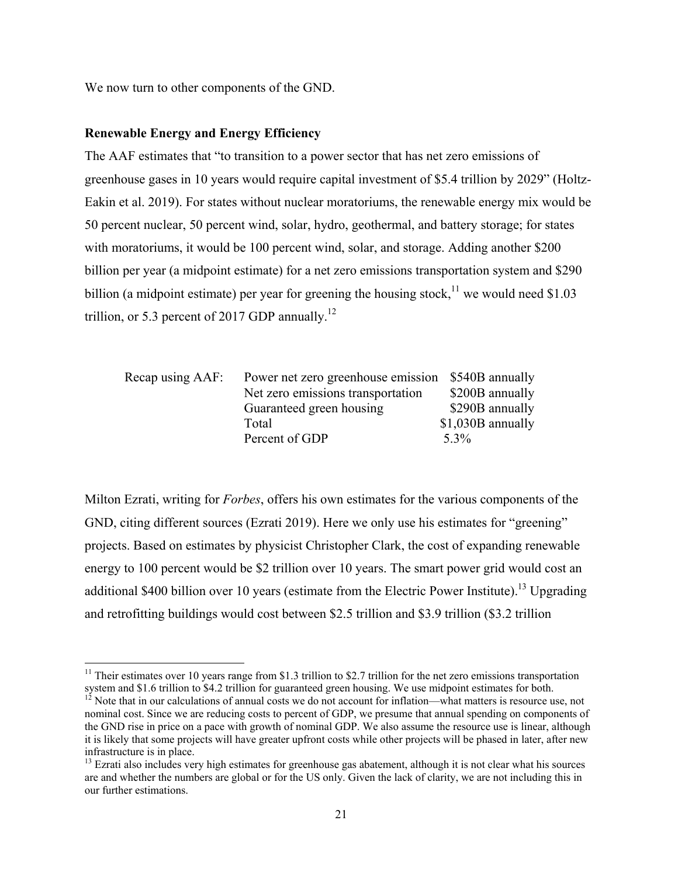We now turn to other components of the GND.

### **Renewable Energy and Energy Efficiency**

The AAF estimates that "to transition to a power sector that has net zero emissions of greenhouse gases in 10 years would require capital investment of \$5.4 trillion by 2029" (Holtz-Eakin et al. 2019). For states without nuclear moratoriums, the renewable energy mix would be 50 percent nuclear, 50 percent wind, solar, hydro, geothermal, and battery storage; for states with moratoriums, it would be 100 percent wind, solar, and storage. Adding another \$200 billion per year (a midpoint estimate) for a net zero emissions transportation system and \$290 billion (a midpoint estimate) per year for greening the housing stock,<sup>11</sup> we would need \$1.03 trillion, or 5.3 percent of 2017 GDP annually.<sup>12</sup>

| Net zero emissions transportation | \$200B annually                                    |
|-----------------------------------|----------------------------------------------------|
| Guaranteed green housing          | \$290B annually                                    |
| Total                             | $$1,030B$ annually                                 |
| Percent of GDP                    | $5.3\%$                                            |
|                                   | Power net zero greenhouse emission \$540B annually |

Milton Ezrati, writing for *Forbes*, offers his own estimates for the various components of the GND, citing different sources (Ezrati 2019). Here we only use his estimates for "greening" projects. Based on estimates by physicist Christopher Clark, the cost of expanding renewable energy to 100 percent would be \$2 trillion over 10 years. The smart power grid would cost an additional \$400 billion over 10 years (estimate from the Electric Power Institute).<sup>13</sup> Upgrading and retrofitting buildings would cost between \$2.5 trillion and \$3.9 trillion (\$3.2 trillion

<sup>&</sup>lt;sup>11</sup> Their estimates over 10 years range from \$1.3 trillion to \$2.7 trillion for the net zero emissions transportation system and \$1.6 trillion to \$4.2 trillion for guaranteed green housing. We use midpoint estimates for

 $1^2$  Note that in our calculations of annual costs we do not account for inflation—what matters is resource use, not nominal cost. Since we are reducing costs to percent of GDP, we presume that annual spending on components of the GND rise in price on a pace with growth of nominal GDP. We also assume the resource use is linear, although it is likely that some projects will have greater upfront costs while other projects will be phased in later, after new infrastructure is in place.

<sup>&</sup>lt;sup>13</sup> Ezrati also includes very high estimates for greenhouse gas abatement, although it is not clear what his sources are and whether the numbers are global or for the US only. Given the lack of clarity, we are not including this in our further estimations.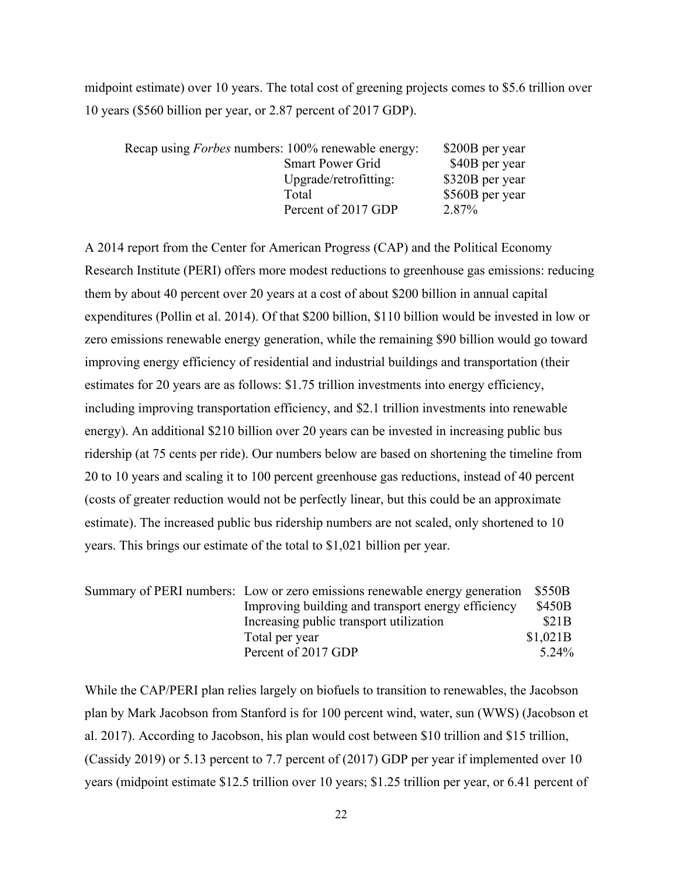midpoint estimate) over 10 years. The total cost of greening projects comes to \$5.6 trillion over 10 years (\$560 billion per year, or 2.87 percent of 2017 GDP).

| Recap using <i>Forbes</i> numbers: 100% renewable energy: | \$200B per year |
|-----------------------------------------------------------|-----------------|
| <b>Smart Power Grid</b>                                   | \$40B per year  |
| Upgrade/retrofitting:                                     | \$320B per year |
| Total                                                     | \$560B per year |
| Percent of 2017 GDP                                       | 2.87%           |

A 2014 report from the Center for American Progress (CAP) and the Political Economy Research Institute (PERI) offers more modest reductions to greenhouse gas emissions: reducing them by about 40 percent over 20 years at a cost of about \$200 billion in annual capital expenditures (Pollin et al. 2014). Of that \$200 billion, \$110 billion would be invested in low or zero emissions renewable energy generation, while the remaining \$90 billion would go toward improving energy efficiency of residential and industrial buildings and transportation (their estimates for 20 years are as follows: \$1.75 trillion investments into energy efficiency, including improving transportation efficiency, and \$2.1 trillion investments into renewable energy). An additional \$210 billion over 20 years can be invested in increasing public bus ridership (at 75 cents per ride). Our numbers below are based on shortening the timeline from 20 to 10 years and scaling it to 100 percent greenhouse gas reductions, instead of 40 percent (costs of greater reduction would not be perfectly linear, but this could be an approximate estimate). The increased public bus ridership numbers are not scaled, only shortened to 10 years. This brings our estimate of the total to \$1,021 billion per year.

| Summary of PERI numbers: Low or zero emissions renewable energy generation \$550B |                     |
|-----------------------------------------------------------------------------------|---------------------|
| Improving building and transport energy efficiency                                | \$450B              |
| Increasing public transport utilization                                           | <b>\$21B</b>        |
| Total per year                                                                    | \$1,021B            |
| Percent of 2017 GDP                                                               | 5 24 <sup>o</sup> % |

While the CAP/PERI plan relies largely on biofuels to transition to renewables, the Jacobson plan by Mark Jacobson from Stanford is for 100 percent wind, water, sun (WWS) (Jacobson et al. 2017). According to Jacobson, his plan would cost between \$10 trillion and \$15 trillion, (Cassidy 2019) or 5.13 percent to 7.7 percent of (2017) GDP per year if implemented over 10 years (midpoint estimate \$12.5 trillion over 10 years; \$1.25 trillion per year, or 6.41 percent of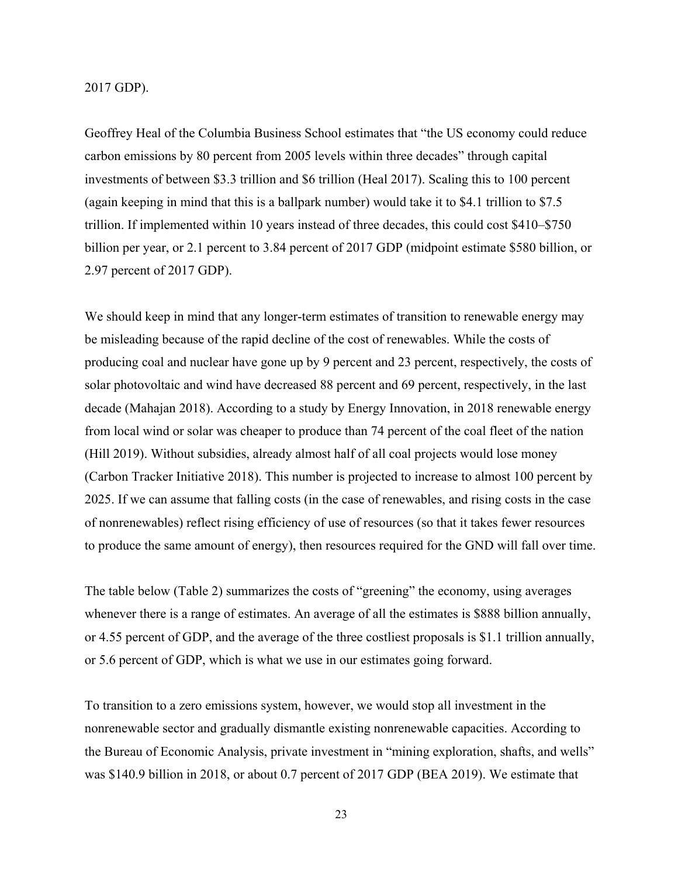#### 2017 GDP).

Geoffrey Heal of the Columbia Business School estimates that "the US economy could reduce carbon emissions by 80 percent from 2005 levels within three decades" through capital investments of between \$3.3 trillion and \$6 trillion (Heal 2017). Scaling this to 100 percent (again keeping in mind that this is a ballpark number) would take it to \$4.1 trillion to \$7.5 trillion. If implemented within 10 years instead of three decades, this could cost \$410–\$750 billion per year, or 2.1 percent to 3.84 percent of 2017 GDP (midpoint estimate \$580 billion, or 2.97 percent of 2017 GDP).

We should keep in mind that any longer-term estimates of transition to renewable energy may be misleading because of the rapid decline of the cost of renewables. While the costs of producing coal and nuclear have gone up by 9 percent and 23 percent, respectively, the costs of solar photovoltaic and wind have decreased 88 percent and 69 percent, respectively, in the last decade (Mahajan 2018). According to a study by Energy Innovation, in 2018 renewable energy from local wind or solar was cheaper to produce than 74 percent of the coal fleet of the nation (Hill 2019). Without subsidies, already almost half of all coal projects would lose money (Carbon Tracker Initiative 2018). This number is projected to increase to almost 100 percent by 2025. If we can assume that falling costs (in the case of renewables, and rising costs in the case of nonrenewables) reflect rising efficiency of use of resources (so that it takes fewer resources to produce the same amount of energy), then resources required for the GND will fall over time.

The table below (Table 2) summarizes the costs of "greening" the economy, using averages whenever there is a range of estimates. An average of all the estimates is \$888 billion annually, or 4.55 percent of GDP, and the average of the three costliest proposals is \$1.1 trillion annually, or 5.6 percent of GDP, which is what we use in our estimates going forward.

To transition to a zero emissions system, however, we would stop all investment in the nonrenewable sector and gradually dismantle existing nonrenewable capacities. According to the Bureau of Economic Analysis, private investment in "mining exploration, shafts, and wells" was \$140.9 billion in 2018, or about 0.7 percent of 2017 GDP (BEA 2019). We estimate that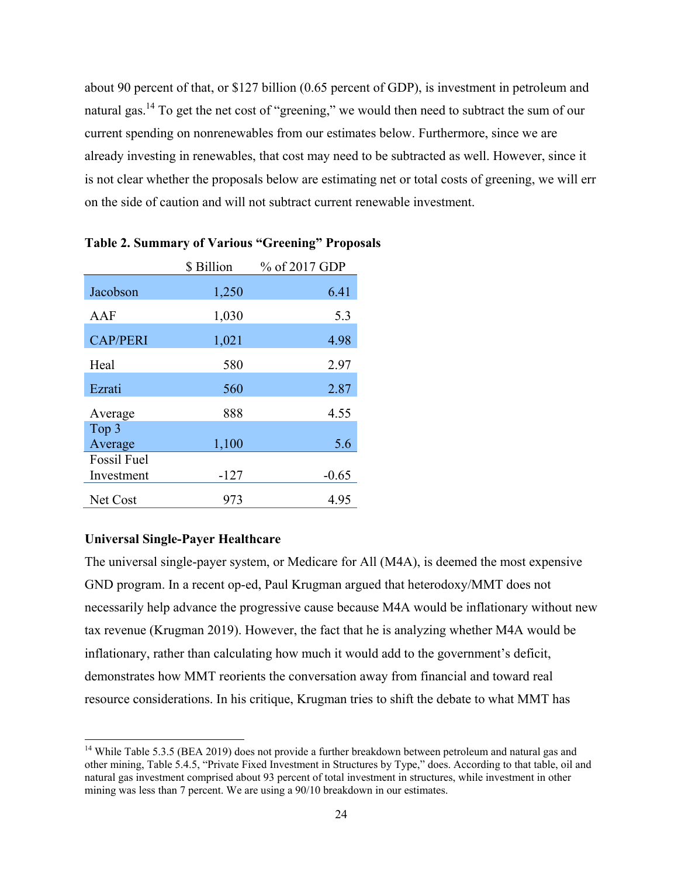about 90 percent of that, or \$127 billion (0.65 percent of GDP), is investment in petroleum and natural gas.<sup>14</sup> To get the net cost of "greening," we would then need to subtract the sum of our current spending on nonrenewables from our estimates below. Furthermore, since we are already investing in renewables, that cost may need to be subtracted as well. However, since it is not clear whether the proposals below are estimating net or total costs of greening, we will err on the side of caution and will not subtract current renewable investment.

|                    | \$ Billion | % of 2017 GDP |
|--------------------|------------|---------------|
| Jacobson           | 1,250      | 6.41          |
| AAF                | 1,030      | 5.3           |
| <b>CAP/PERI</b>    | 1,021      | 4.98          |
| Heal               | 580        | 2.97          |
| Ezrati             | 560        | 2.87          |
| Average            | 888        | 4.55          |
| Top 3<br>Average   | 1,100      | 5.6           |
| <b>Fossil Fuel</b> |            |               |
| Investment         | $-127$     | $-0.65$       |
| Net Cost           | 973        | 4.95          |

### **Table 2. Summary of Various "Greening" Proposals**

#### **Universal Single-Payer Healthcare**

The universal single-payer system, or Medicare for All (M4A), is deemed the most expensive GND program. In a recent op-ed, Paul Krugman argued that heterodoxy/MMT does not necessarily help advance the progressive cause because M4A would be inflationary without new tax revenue (Krugman 2019). However, the fact that he is analyzing whether M4A would be inflationary, rather than calculating how much it would add to the government's deficit, demonstrates how MMT reorients the conversation away from financial and toward real resource considerations. In his critique, Krugman tries to shift the debate to what MMT has

<sup>&</sup>lt;sup>14</sup> While Table 5.3.5 (BEA 2019) does not provide a further breakdown between petroleum and natural gas and other mining, Table 5.4.5, "Private Fixed Investment in Structures by Type," does. According to that table, oil and natural gas investment comprised about 93 percent of total investment in structures, while investment in other mining was less than 7 percent. We are using a 90/10 breakdown in our estimates.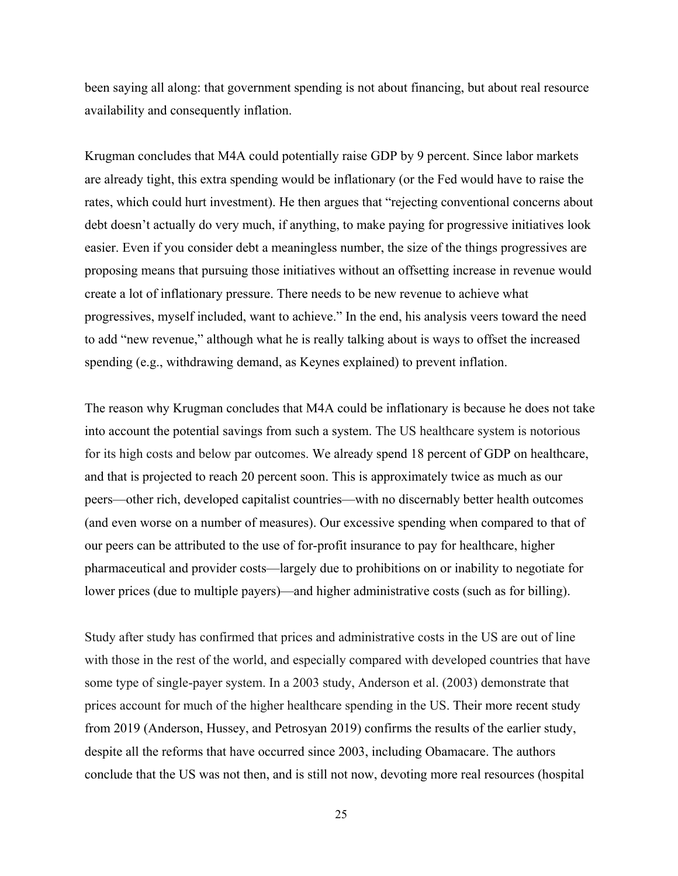been saying all along: that government spending is not about financing, but about real resource availability and consequently inflation.

Krugman concludes that M4A could potentially raise GDP by 9 percent. Since labor markets are already tight, this extra spending would be inflationary (or the Fed would have to raise the rates, which could hurt investment). He then argues that "rejecting conventional concerns about debt doesn't actually do very much, if anything, to make paying for progressive initiatives look easier. Even if you consider debt a meaningless number, the size of the things progressives are proposing means that pursuing those initiatives without an offsetting increase in revenue would create a lot of inflationary pressure. There needs to be new revenue to achieve what progressives, myself included, want to achieve." In the end, his analysis veers toward the need to add "new revenue," although what he is really talking about is ways to offset the increased spending (e.g., withdrawing demand, as Keynes explained) to prevent inflation.

The reason why Krugman concludes that M4A could be inflationary is because he does not take into account the potential savings from such a system. The US healthcare system is notorious for its high costs and below par outcomes. We already spend 18 percent of GDP on healthcare, and that is projected to reach 20 percent soon. This is approximately twice as much as our peers—other rich, developed capitalist countries—with no discernably better health outcomes (and even worse on a number of measures). Our excessive spending when compared to that of our peers can be attributed to the use of for-profit insurance to pay for healthcare, higher pharmaceutical and provider costs—largely due to prohibitions on or inability to negotiate for lower prices (due to multiple payers)—and higher administrative costs (such as for billing).

Study after study has confirmed that prices and administrative costs in the US are out of line with those in the rest of the world, and especially compared with developed countries that have some type of single-payer system. In a 2003 study, Anderson et al. (2003) demonstrate that prices account for much of the higher healthcare spending in the US. Their more recent study from 2019 (Anderson, Hussey, and Petrosyan 2019) confirms the results of the earlier study, despite all the reforms that have occurred since 2003, including Obamacare. The authors conclude that the US was not then, and is still not now, devoting more real resources (hospital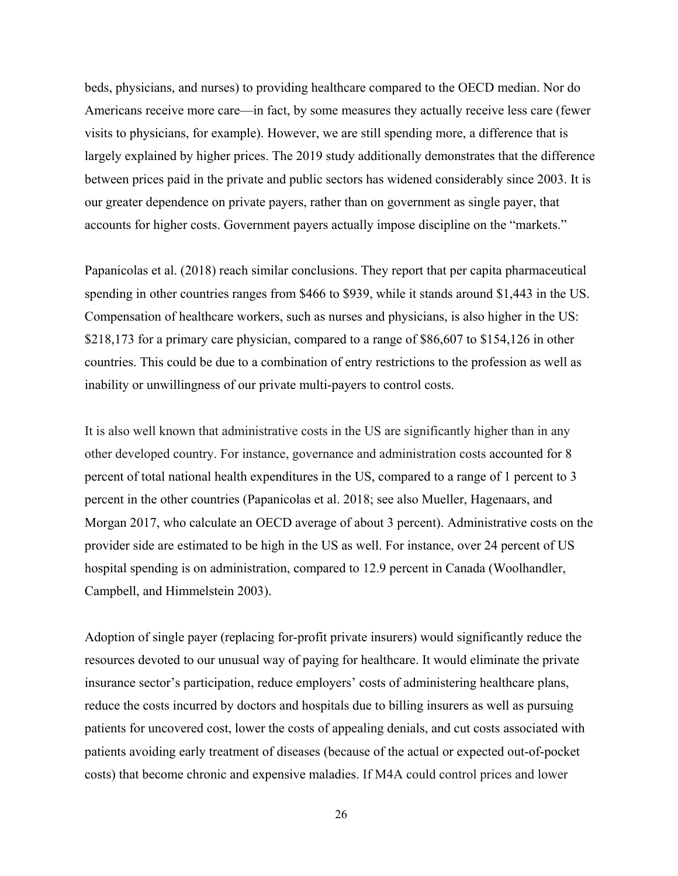beds, physicians, and nurses) to providing healthcare compared to the OECD median. Nor do Americans receive more care—in fact, by some measures they actually receive less care (fewer visits to physicians, for example). However, we are still spending more, a difference that is largely explained by higher prices. The 2019 study additionally demonstrates that the difference between prices paid in the private and public sectors has widened considerably since 2003. It is our greater dependence on private payers, rather than on government as single payer, that accounts for higher costs. Government payers actually impose discipline on the "markets."

Papanicolas et al. (2018) reach similar conclusions. They report that per capita pharmaceutical spending in other countries ranges from \$466 to \$939, while it stands around \$1,443 in the US. Compensation of healthcare workers, such as nurses and physicians, is also higher in the US: \$218,173 for a primary care physician, compared to a range of \$86,607 to \$154,126 in other countries. This could be due to a combination of entry restrictions to the profession as well as inability or unwillingness of our private multi-payers to control costs.

It is also well known that administrative costs in the US are significantly higher than in any other developed country. For instance, governance and administration costs accounted for 8 percent of total national health expenditures in the US, compared to a range of 1 percent to 3 percent in the other countries (Papanicolas et al. 2018; see also Mueller, Hagenaars, and Morgan 2017, who calculate an OECD average of about 3 percent). Administrative costs on the provider side are estimated to be high in the US as well. For instance, over 24 percent of US hospital spending is on administration, compared to 12.9 percent in Canada (Woolhandler, Campbell, and Himmelstein 2003).

Adoption of single payer (replacing for-profit private insurers) would significantly reduce the resources devoted to our unusual way of paying for healthcare. It would eliminate the private insurance sector's participation, reduce employers' costs of administering healthcare plans, reduce the costs incurred by doctors and hospitals due to billing insurers as well as pursuing patients for uncovered cost, lower the costs of appealing denials, and cut costs associated with patients avoiding early treatment of diseases (because of the actual or expected out-of-pocket costs) that become chronic and expensive maladies. If M4A could control prices and lower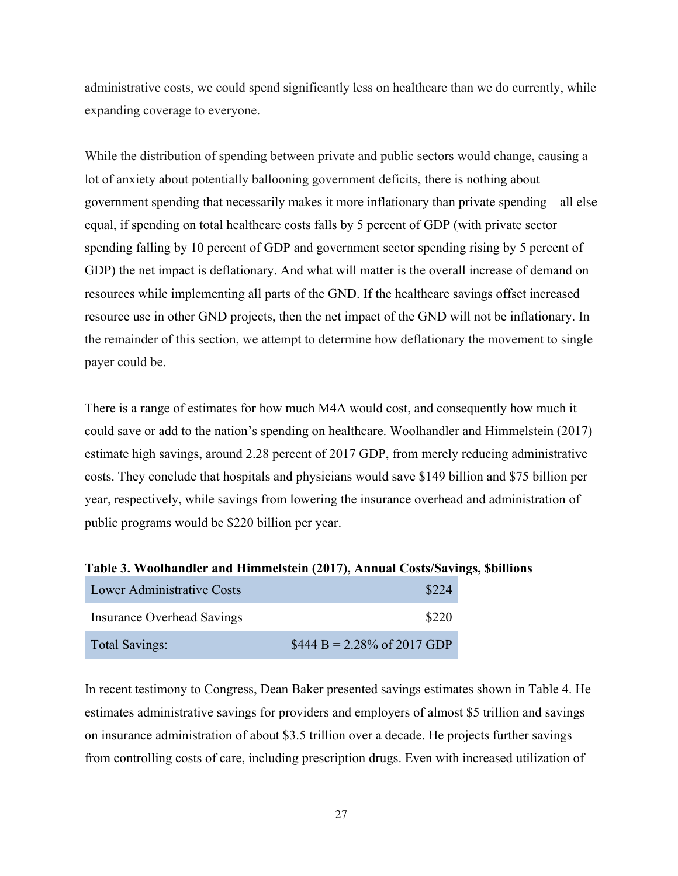administrative costs, we could spend significantly less on healthcare than we do currently, while expanding coverage to everyone.

While the distribution of spending between private and public sectors would change, causing a lot of anxiety about potentially ballooning government deficits, there is nothing about government spending that necessarily makes it more inflationary than private spending—all else equal, if spending on total healthcare costs falls by 5 percent of GDP (with private sector spending falling by 10 percent of GDP and government sector spending rising by 5 percent of GDP) the net impact is deflationary. And what will matter is the overall increase of demand on resources while implementing all parts of the GND. If the healthcare savings offset increased resource use in other GND projects, then the net impact of the GND will not be inflationary. In the remainder of this section, we attempt to determine how deflationary the movement to single payer could be.

There is a range of estimates for how much M4A would cost, and consequently how much it could save or add to the nation's spending on healthcare. Woolhandler and Himmelstein (2017) estimate high savings, around 2.28 percent of 2017 GDP, from merely reducing administrative costs. They conclude that hospitals and physicians would save \$149 billion and \$75 billion per year, respectively, while savings from lowering the insurance overhead and administration of public programs would be \$220 billion per year.

| Lower Administrative Costs |                                                |
|----------------------------|------------------------------------------------|
| Insurance Overhead Savings | \$220                                          |
| <b>Total Savings:</b>      | $$444 B = 2.28\% \text{ of } 2017 \text{ GDP}$ |

**Table 3. Woolhandler and Himmelstein (2017), Annual Costs/Savings, \$billions**

In recent testimony to Congress, Dean Baker presented savings estimates shown in Table 4. He estimates administrative savings for providers and employers of almost \$5 trillion and savings on insurance administration of about \$3.5 trillion over a decade. He projects further savings from controlling costs of care, including prescription drugs. Even with increased utilization of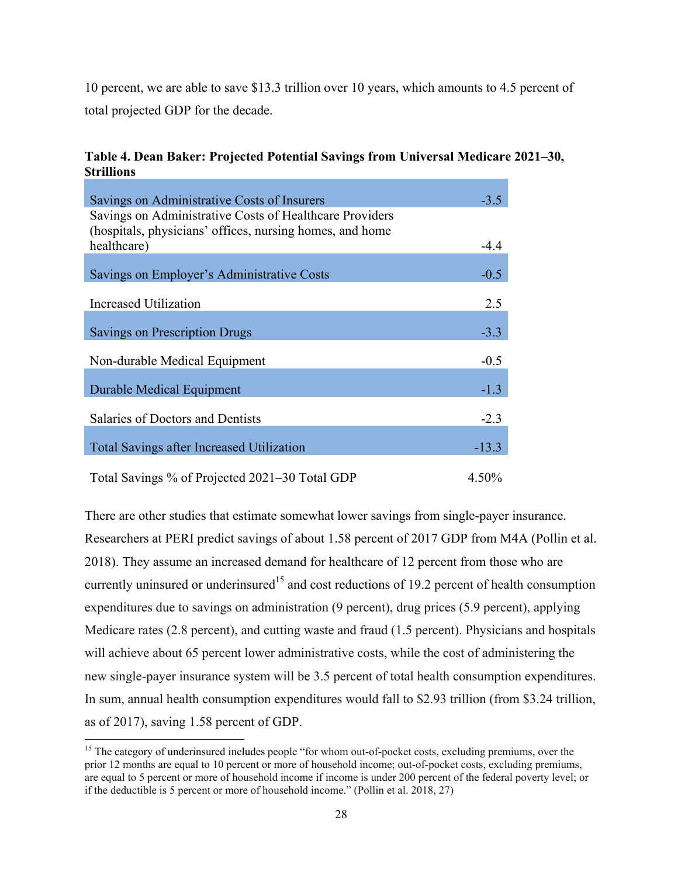10 percent, we are able to save \$13.3 trillion over 10 years, which amounts to 4.5 percent of total projected GDP for the decade.

| Savings on Administrative Costs of Insurers                                                                         | $-3.5$  |
|---------------------------------------------------------------------------------------------------------------------|---------|
| Savings on Administrative Costs of Healthcare Providers<br>(hospitals, physicians' offices, nursing homes, and home |         |
| healthcare)                                                                                                         | $-4.4$  |
| Savings on Employer's Administrative Costs                                                                          | $-0.5$  |
| Increased Utilization                                                                                               | 2.5     |
| <b>Savings on Prescription Drugs</b>                                                                                | $-3.3$  |
| Non-durable Medical Equipment                                                                                       | $-0.5$  |
| Durable Medical Equipment                                                                                           | $-1.3$  |
| Salaries of Doctors and Dentists                                                                                    | $-2.3$  |
| <b>Total Savings after Increased Utilization</b>                                                                    | $-13.3$ |
| Total Savings % of Projected 2021–30 Total GDP                                                                      | 4.50%   |

# **Table 4. Dean Baker: Projected Potential Savings from Universal Medicare 2021–30, \$trillions**

There are other studies that estimate somewhat lower savings from single-payer insurance. Researchers at PERI predict savings of about 1.58 percent of 2017 GDP from M4A (Pollin et al. 2018). They assume an increased demand for healthcare of 12 percent from those who are currently uninsured or underinsured<sup>15</sup> and cost reductions of 19.2 percent of health consumption expenditures due to savings on administration (9 percent), drug prices (5.9 percent), applying Medicare rates (2.8 percent), and cutting waste and fraud (1.5 percent). Physicians and hospitals will achieve about 65 percent lower administrative costs, while the cost of administering the new single-payer insurance system will be 3.5 percent of total health consumption expenditures. In sum, annual health consumption expenditures would fall to \$2.93 trillion (from \$3.24 trillion, as of 2017), saving 1.58 percent of GDP.

<sup>&</sup>lt;sup>15</sup> The category of underinsured includes people "for whom out-of-pocket costs, excluding premiums, over the prior 12 months are equal to 10 percent or more of household income; out-of-pocket costs, excluding premiums, are equal to 5 percent or more of household income if income is under 200 percent of the federal poverty level; or if the deductible is 5 percent or more of household income." (Pollin et al. 2018, 27)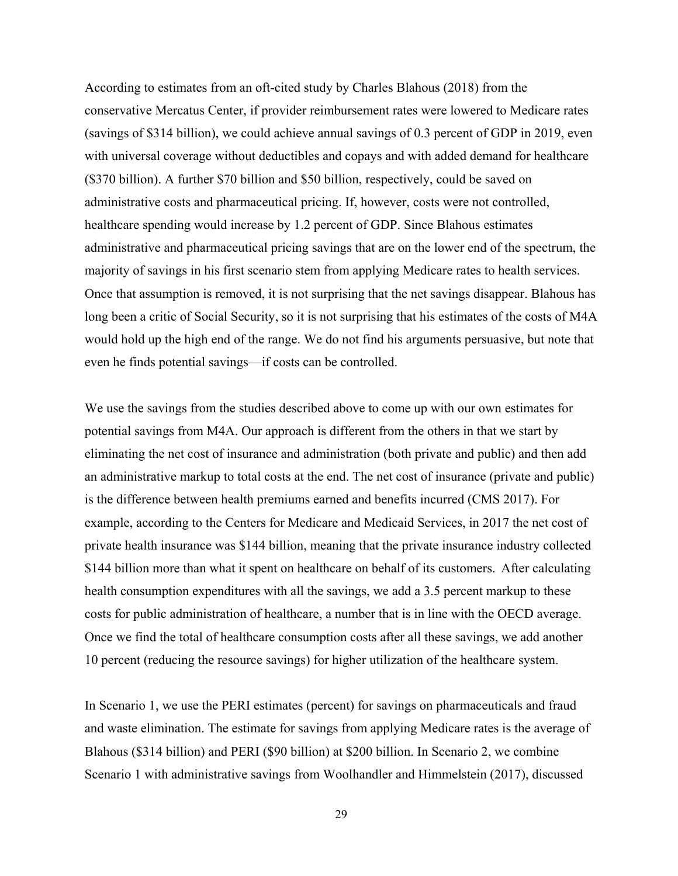According to estimates from an oft-cited study by Charles Blahous (2018) from the conservative Mercatus Center, if provider reimbursement rates were lowered to Medicare rates (savings of \$314 billion), we could achieve annual savings of 0.3 percent of GDP in 2019, even with universal coverage without deductibles and copays and with added demand for healthcare (\$370 billion). A further \$70 billion and \$50 billion, respectively, could be saved on administrative costs and pharmaceutical pricing. If, however, costs were not controlled, healthcare spending would increase by 1.2 percent of GDP. Since Blahous estimates administrative and pharmaceutical pricing savings that are on the lower end of the spectrum, the majority of savings in his first scenario stem from applying Medicare rates to health services. Once that assumption is removed, it is not surprising that the net savings disappear. Blahous has long been a critic of Social Security, so it is not surprising that his estimates of the costs of M4A would hold up the high end of the range. We do not find his arguments persuasive, but note that even he finds potential savings—if costs can be controlled.

We use the savings from the studies described above to come up with our own estimates for potential savings from M4A. Our approach is different from the others in that we start by eliminating the net cost of insurance and administration (both private and public) and then add an administrative markup to total costs at the end. The net cost of insurance (private and public) is the difference between health premiums earned and benefits incurred (CMS 2017). For example, according to the Centers for Medicare and Medicaid Services, in 2017 the net cost of private health insurance was \$144 billion, meaning that the private insurance industry collected \$144 billion more than what it spent on healthcare on behalf of its customers. After calculating health consumption expenditures with all the savings, we add a 3.5 percent markup to these costs for public administration of healthcare, a number that is in line with the OECD average. Once we find the total of healthcare consumption costs after all these savings, we add another 10 percent (reducing the resource savings) for higher utilization of the healthcare system.

In Scenario 1, we use the PERI estimates (percent) for savings on pharmaceuticals and fraud and waste elimination. The estimate for savings from applying Medicare rates is the average of Blahous (\$314 billion) and PERI (\$90 billion) at \$200 billion. In Scenario 2, we combine Scenario 1 with administrative savings from Woolhandler and Himmelstein (2017), discussed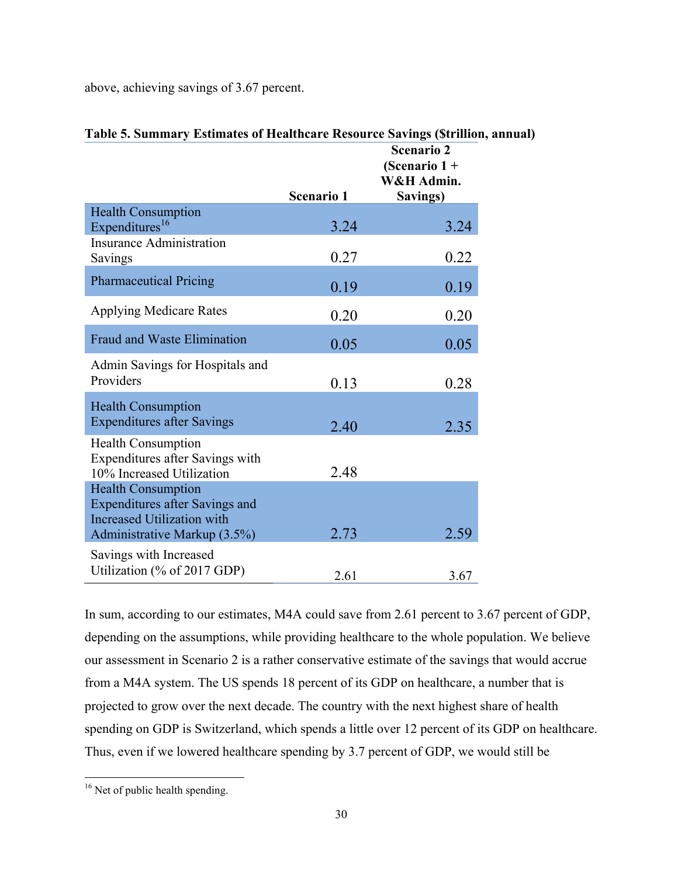above, achieving savings of 3.67 percent.

|                                                                                                         |                   | <b>Scenario 2</b><br>(Scenario $1 +$<br>W&H Admin. |
|---------------------------------------------------------------------------------------------------------|-------------------|----------------------------------------------------|
|                                                                                                         | <b>Scenario 1</b> | Savings)                                           |
| <b>Health Consumption</b><br>Expenditures <sup>16</sup>                                                 | 3.24              | 3.24                                               |
| <b>Insurance Administration</b><br>Savings                                                              | 0.27              | 0.22                                               |
| <b>Pharmaceutical Pricing</b>                                                                           | 0.19              | 0.19                                               |
| <b>Applying Medicare Rates</b>                                                                          | 0.20              | 0.20                                               |
| <b>Fraud and Waste Elimination</b>                                                                      | 0.05              | 0.05                                               |
| Admin Savings for Hospitals and<br>Providers                                                            | 0.13              | 0.28                                               |
| <b>Health Consumption</b><br><b>Expenditures after Savings</b>                                          | 2.40              | 2.35                                               |
| <b>Health Consumption</b><br>Expenditures after Savings with<br>10% Increased Utilization               | 2.48              |                                                    |
| <b>Health Consumption</b><br><b>Expenditures after Savings and</b><br><b>Increased Utilization with</b> |                   |                                                    |
| Administrative Markup (3.5%)                                                                            | 2.73              | 2.59                                               |
| Savings with Increased<br>Utilization (% of 2017 GDP)                                                   | 2.61              | 3.67                                               |

# **Table 5. Summary Estimates of Healthcare Resource Savings (\$trillion, annual)**

In sum, according to our estimates, M4A could save from 2.61 percent to 3.67 percent of GDP, depending on the assumptions, while providing healthcare to the whole population. We believe our assessment in Scenario 2 is a rather conservative estimate of the savings that would accrue from a M4A system. The US spends 18 percent of its GDP on healthcare, a number that is projected to grow over the next decade. The country with the next highest share of health spending on GDP is Switzerland, which spends a little over 12 percent of its GDP on healthcare. Thus, even if we lowered healthcare spending by 3.7 percent of GDP, we would still be

 <sup>16</sup> Net of public health spending.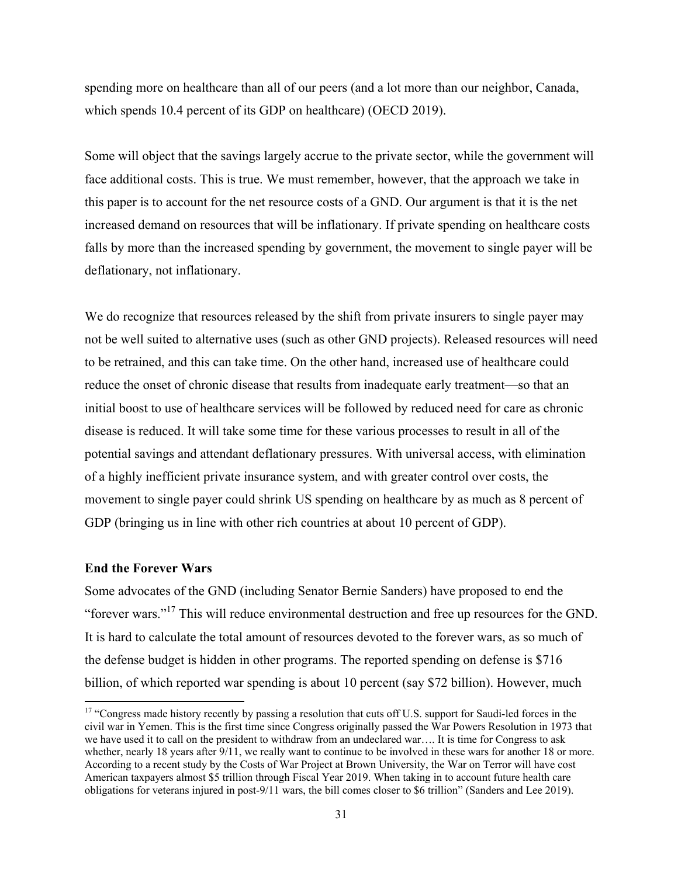spending more on healthcare than all of our peers (and a lot more than our neighbor, Canada, which spends 10.4 percent of its GDP on healthcare) (OECD 2019).

Some will object that the savings largely accrue to the private sector, while the government will face additional costs. This is true. We must remember, however, that the approach we take in this paper is to account for the net resource costs of a GND. Our argument is that it is the net increased demand on resources that will be inflationary. If private spending on healthcare costs falls by more than the increased spending by government, the movement to single payer will be deflationary, not inflationary.

We do recognize that resources released by the shift from private insurers to single payer may not be well suited to alternative uses (such as other GND projects). Released resources will need to be retrained, and this can take time. On the other hand, increased use of healthcare could reduce the onset of chronic disease that results from inadequate early treatment—so that an initial boost to use of healthcare services will be followed by reduced need for care as chronic disease is reduced. It will take some time for these various processes to result in all of the potential savings and attendant deflationary pressures. With universal access, with elimination of a highly inefficient private insurance system, and with greater control over costs, the movement to single payer could shrink US spending on healthcare by as much as 8 percent of GDP (bringing us in line with other rich countries at about 10 percent of GDP).

# **End the Forever Wars**

Some advocates of the GND (including Senator Bernie Sanders) have proposed to end the "forever wars."17 This will reduce environmental destruction and free up resources for the GND. It is hard to calculate the total amount of resources devoted to the forever wars, as so much of the defense budget is hidden in other programs. The reported spending on defense is \$716 billion, of which reported war spending is about 10 percent (say \$72 billion). However, much

<sup>&</sup>lt;sup>17</sup> "Congress made history recently by passing a resolution that cuts off U.S. support for Saudi-led forces in the civil war in Yemen. This is the first time since Congress originally passed the War Powers Resolution in 1973 that we have used it to call on the president to withdraw from an undeclared war…. It is time for Congress to ask whether, nearly 18 years after 9/11, we really want to continue to be involved in these wars for another 18 or more. According to a recent study by the Costs of War Project at Brown University, the War on Terror will have cost American taxpayers almost \$5 trillion through Fiscal Year 2019. When taking in to account future health care obligations for veterans injured in post-9/11 wars, the bill comes closer to \$6 trillion" (Sanders and Lee 2019).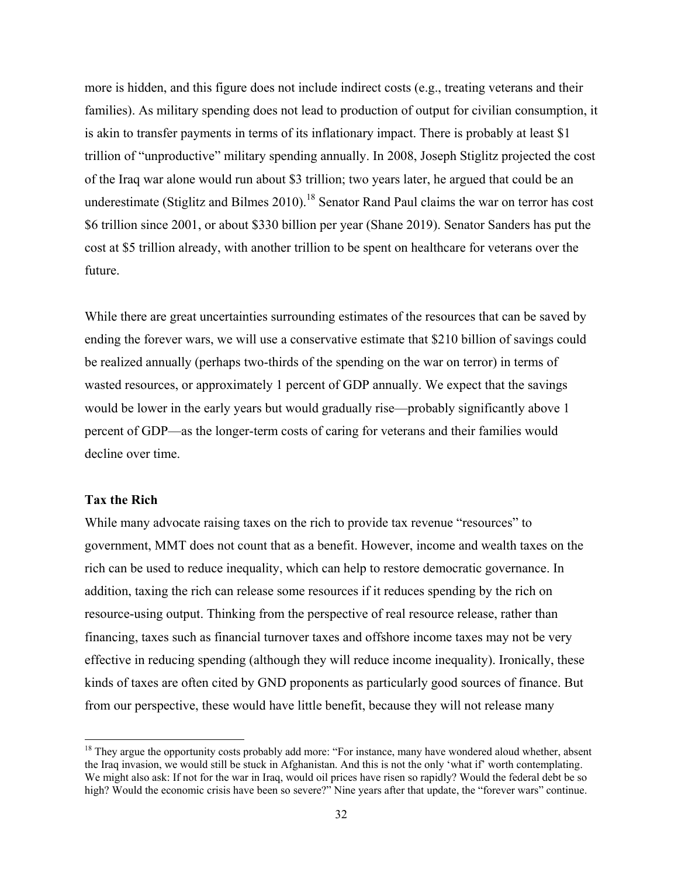more is hidden, and this figure does not include indirect costs (e.g., treating veterans and their families). As military spending does not lead to production of output for civilian consumption, it is akin to transfer payments in terms of its inflationary impact. There is probably at least \$1 trillion of "unproductive" military spending annually. In 2008, Joseph Stiglitz projected the cost of the Iraq war alone would run about \$3 trillion; two years later, he argued that could be an underestimate (Stiglitz and Bilmes 2010).<sup>18</sup> Senator Rand Paul claims the war on terror has cost \$6 trillion since 2001, or about \$330 billion per year (Shane 2019). Senator Sanders has put the cost at \$5 trillion already, with another trillion to be spent on healthcare for veterans over the future.

While there are great uncertainties surrounding estimates of the resources that can be saved by ending the forever wars, we will use a conservative estimate that \$210 billion of savings could be realized annually (perhaps two-thirds of the spending on the war on terror) in terms of wasted resources, or approximately 1 percent of GDP annually. We expect that the savings would be lower in the early years but would gradually rise—probably significantly above 1 percent of GDP—as the longer-term costs of caring for veterans and their families would decline over time.

### **Tax the Rich**

While many advocate raising taxes on the rich to provide tax revenue "resources" to government, MMT does not count that as a benefit. However, income and wealth taxes on the rich can be used to reduce inequality, which can help to restore democratic governance. In addition, taxing the rich can release some resources if it reduces spending by the rich on resource-using output. Thinking from the perspective of real resource release, rather than financing, taxes such as financial turnover taxes and offshore income taxes may not be very effective in reducing spending (although they will reduce income inequality). Ironically, these kinds of taxes are often cited by GND proponents as particularly good sources of finance. But from our perspective, these would have little benefit, because they will not release many

<sup>&</sup>lt;sup>18</sup> They argue the opportunity costs probably add more: "For instance, many have wondered aloud whether, absent the Iraq invasion, we would still be stuck in Afghanistan. And this is not the only 'what if' worth contemplating. We might also ask: If not for the war in Iraq, would oil prices have risen so rapidly? Would the federal debt be so high? Would the economic crisis have been so severe?" Nine years after that update, the "forever wars" continue.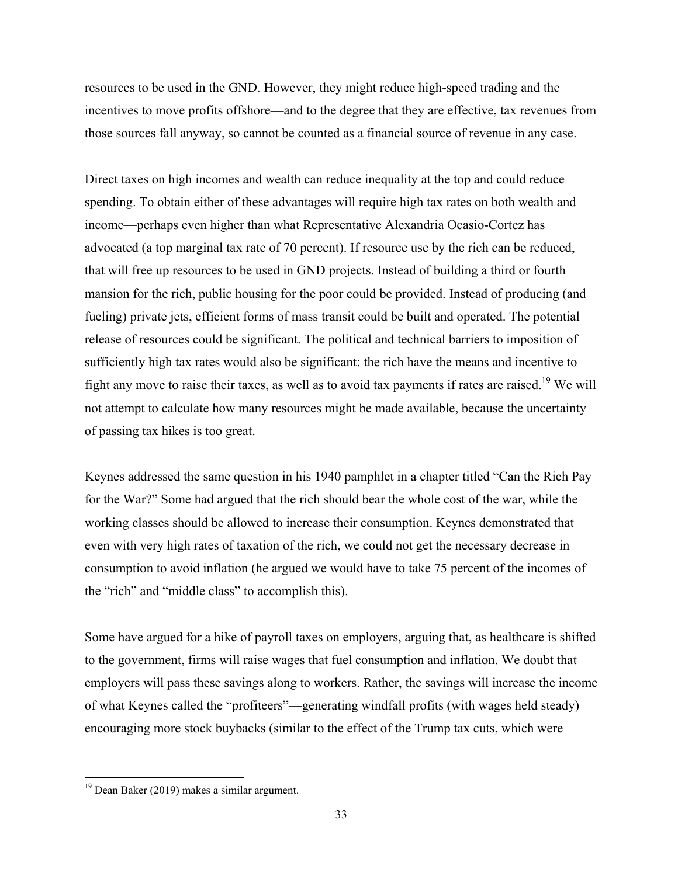resources to be used in the GND. However, they might reduce high-speed trading and the incentives to move profits offshore—and to the degree that they are effective, tax revenues from those sources fall anyway, so cannot be counted as a financial source of revenue in any case.

Direct taxes on high incomes and wealth can reduce inequality at the top and could reduce spending. To obtain either of these advantages will require high tax rates on both wealth and income—perhaps even higher than what Representative Alexandria Ocasio-Cortez has advocated (a top marginal tax rate of 70 percent). If resource use by the rich can be reduced, that will free up resources to be used in GND projects. Instead of building a third or fourth mansion for the rich, public housing for the poor could be provided. Instead of producing (and fueling) private jets, efficient forms of mass transit could be built and operated. The potential release of resources could be significant. The political and technical barriers to imposition of sufficiently high tax rates would also be significant: the rich have the means and incentive to fight any move to raise their taxes, as well as to avoid tax payments if rates are raised.<sup>19</sup> We will not attempt to calculate how many resources might be made available, because the uncertainty of passing tax hikes is too great.

Keynes addressed the same question in his 1940 pamphlet in a chapter titled "Can the Rich Pay for the War?" Some had argued that the rich should bear the whole cost of the war, while the working classes should be allowed to increase their consumption. Keynes demonstrated that even with very high rates of taxation of the rich, we could not get the necessary decrease in consumption to avoid inflation (he argued we would have to take 75 percent of the incomes of the "rich" and "middle class" to accomplish this).

Some have argued for a hike of payroll taxes on employers, arguing that, as healthcare is shifted to the government, firms will raise wages that fuel consumption and inflation. We doubt that employers will pass these savings along to workers. Rather, the savings will increase the income of what Keynes called the "profiteers"—generating windfall profits (with wages held steady) encouraging more stock buybacks (similar to the effect of the Trump tax cuts, which were

<sup>&</sup>lt;sup>19</sup> Dean Baker (2019) makes a similar argument.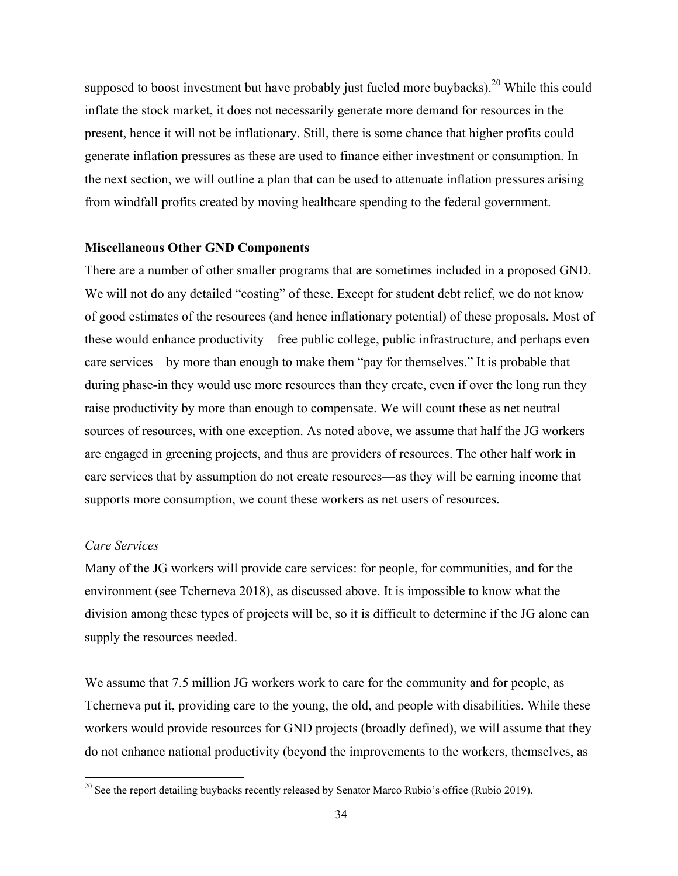supposed to boost investment but have probably just fueled more buybacks).<sup>20</sup> While this could inflate the stock market, it does not necessarily generate more demand for resources in the present, hence it will not be inflationary. Still, there is some chance that higher profits could generate inflation pressures as these are used to finance either investment or consumption. In the next section, we will outline a plan that can be used to attenuate inflation pressures arising from windfall profits created by moving healthcare spending to the federal government.

#### **Miscellaneous Other GND Components**

There are a number of other smaller programs that are sometimes included in a proposed GND. We will not do any detailed "costing" of these. Except for student debt relief, we do not know of good estimates of the resources (and hence inflationary potential) of these proposals. Most of these would enhance productivity—free public college, public infrastructure, and perhaps even care services—by more than enough to make them "pay for themselves." It is probable that during phase-in they would use more resources than they create, even if over the long run they raise productivity by more than enough to compensate. We will count these as net neutral sources of resources, with one exception. As noted above, we assume that half the JG workers are engaged in greening projects, and thus are providers of resources. The other half work in care services that by assumption do not create resources—as they will be earning income that supports more consumption, we count these workers as net users of resources.

#### *Care Services*

Many of the JG workers will provide care services: for people, for communities, and for the environment (see Tcherneva 2018), as discussed above. It is impossible to know what the division among these types of projects will be, so it is difficult to determine if the JG alone can supply the resources needed.

We assume that 7.5 million JG workers work to care for the community and for people, as Tcherneva put it, providing care to the young, the old, and people with disabilities. While these workers would provide resources for GND projects (broadly defined), we will assume that they do not enhance national productivity (beyond the improvements to the workers, themselves, as

<sup>&</sup>lt;sup>20</sup> See the report detailing buybacks recently released by Senator Marco Rubio's office (Rubio 2019).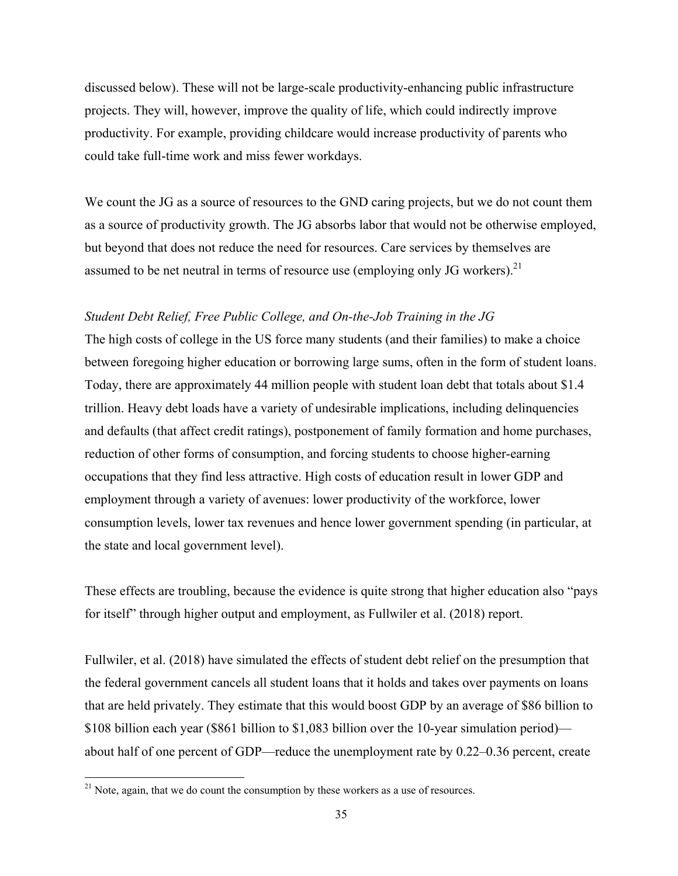discussed below). These will not be large-scale productivity-enhancing public infrastructure projects. They will, however, improve the quality of life, which could indirectly improve productivity. For example, providing childcare would increase productivity of parents who could take full-time work and miss fewer workdays.

We count the JG as a source of resources to the GND caring projects, but we do not count them as a source of productivity growth. The JG absorbs labor that would not be otherwise employed, but beyond that does not reduce the need for resources. Care services by themselves are assumed to be net neutral in terms of resource use (employing only JG workers).<sup>21</sup>

## *Student Debt Relief, Free Public College, and On-the-Job Training in the JG*

The high costs of college in the US force many students (and their families) to make a choice between foregoing higher education or borrowing large sums, often in the form of student loans. Today, there are approximately 44 million people with student loan debt that totals about \$1.4 trillion. Heavy debt loads have a variety of undesirable implications, including delinquencies and defaults (that affect credit ratings), postponement of family formation and home purchases, reduction of other forms of consumption, and forcing students to choose higher-earning occupations that they find less attractive. High costs of education result in lower GDP and employment through a variety of avenues: lower productivity of the workforce, lower consumption levels, lower tax revenues and hence lower government spending (in particular, at the state and local government level).

These effects are troubling, because the evidence is quite strong that higher education also "pays for itself" through higher output and employment, as Fullwiler et al. (2018) report.

Fullwiler, et al. (2018) have simulated the effects of student debt relief on the presumption that the federal government cancels all student loans that it holds and takes over payments on loans that are held privately. They estimate that this would boost GDP by an average of \$86 billion to \$108 billion each year (\$861 billion to \$1,083 billion over the 10-year simulation period) about half of one percent of GDP—reduce the unemployment rate by 0.22–0.36 percent, create

 $21$  Note, again, that we do count the consumption by these workers as a use of resources.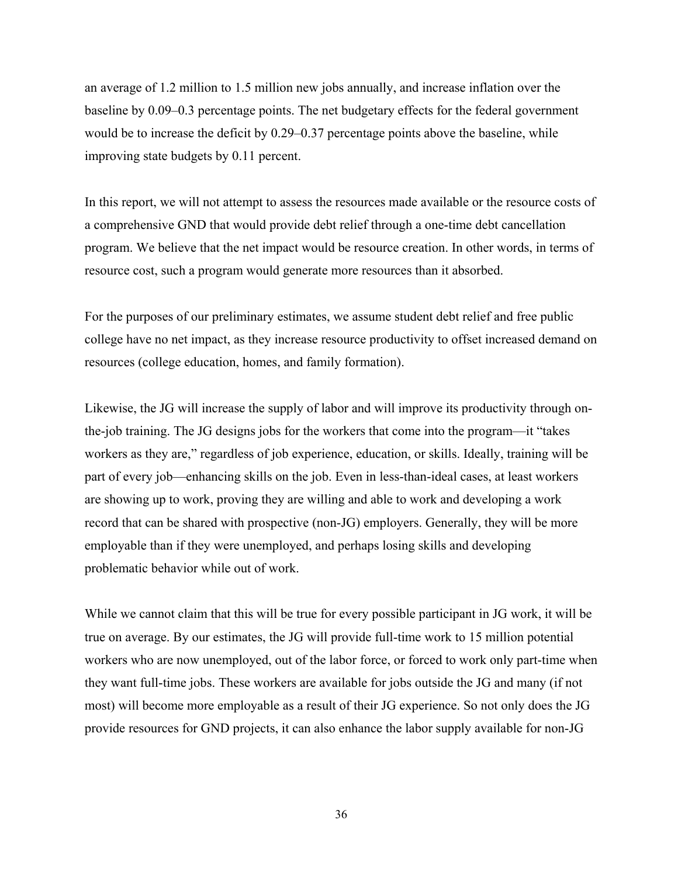an average of 1.2 million to 1.5 million new jobs annually, and increase inflation over the baseline by 0.09–0.3 percentage points. The net budgetary effects for the federal government would be to increase the deficit by 0.29–0.37 percentage points above the baseline, while improving state budgets by 0.11 percent.

In this report, we will not attempt to assess the resources made available or the resource costs of a comprehensive GND that would provide debt relief through a one-time debt cancellation program. We believe that the net impact would be resource creation. In other words, in terms of resource cost, such a program would generate more resources than it absorbed.

For the purposes of our preliminary estimates, we assume student debt relief and free public college have no net impact, as they increase resource productivity to offset increased demand on resources (college education, homes, and family formation).

Likewise, the JG will increase the supply of labor and will improve its productivity through onthe-job training. The JG designs jobs for the workers that come into the program—it "takes workers as they are," regardless of job experience, education, or skills. Ideally, training will be part of every job—enhancing skills on the job. Even in less-than-ideal cases, at least workers are showing up to work, proving they are willing and able to work and developing a work record that can be shared with prospective (non-JG) employers. Generally, they will be more employable than if they were unemployed, and perhaps losing skills and developing problematic behavior while out of work.

While we cannot claim that this will be true for every possible participant in JG work, it will be true on average. By our estimates, the JG will provide full-time work to 15 million potential workers who are now unemployed, out of the labor force, or forced to work only part-time when they want full-time jobs. These workers are available for jobs outside the JG and many (if not most) will become more employable as a result of their JG experience. So not only does the JG provide resources for GND projects, it can also enhance the labor supply available for non-JG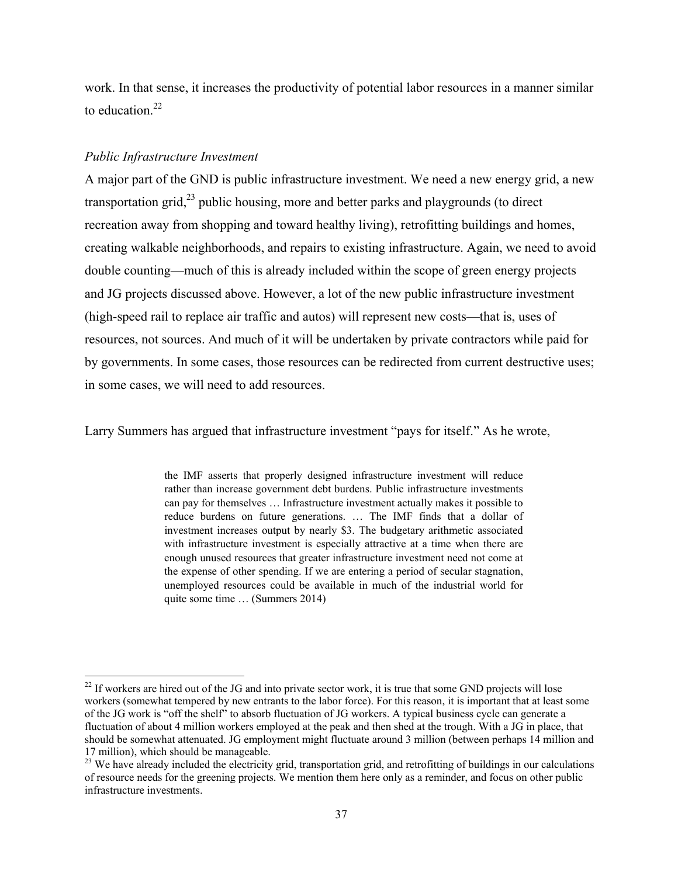work. In that sense, it increases the productivity of potential labor resources in a manner similar to education. $22$ 

### *Public Infrastructure Investment*

A major part of the GND is public infrastructure investment. We need a new energy grid, a new transportation grid, $^{23}$  public housing, more and better parks and playgrounds (to direct recreation away from shopping and toward healthy living), retrofitting buildings and homes, creating walkable neighborhoods, and repairs to existing infrastructure. Again, we need to avoid double counting—much of this is already included within the scope of green energy projects and JG projects discussed above. However, a lot of the new public infrastructure investment (high-speed rail to replace air traffic and autos) will represent new costs—that is, uses of resources, not sources. And much of it will be undertaken by private contractors while paid for by governments. In some cases, those resources can be redirected from current destructive uses; in some cases, we will need to add resources.

Larry Summers has argued that infrastructure investment "pays for itself." As he wrote,

the IMF asserts that properly designed infrastructure investment will reduce rather than increase government debt burdens. Public infrastructure investments can pay for themselves … Infrastructure investment actually makes it possible to reduce burdens on future generations. … The IMF finds that a dollar of investment increases output by nearly \$3. The budgetary arithmetic associated with infrastructure investment is especially attractive at a time when there are enough unused resources that greater infrastructure investment need not come at the expense of other spending. If we are entering a period of secular stagnation, unemployed resources could be available in much of the industrial world for quite some time … (Summers 2014)

 $22$  If workers are hired out of the JG and into private sector work, it is true that some GND projects will lose workers (somewhat tempered by new entrants to the labor force). For this reason, it is important that at least some of the JG work is "off the shelf" to absorb fluctuation of JG workers. A typical business cycle can generate a fluctuation of about 4 million workers employed at the peak and then shed at the trough. With a JG in place, that should be somewhat attenuated. JG employment might fluctuate around 3 million (between perhaps 14 million and 17 million), which should be manageable.

<sup>&</sup>lt;sup>23</sup> We have already included the electricity grid, transportation grid, and retrofitting of buildings in our calculations of resource needs for the greening projects. We mention them here only as a reminder, and focus on other public infrastructure investments.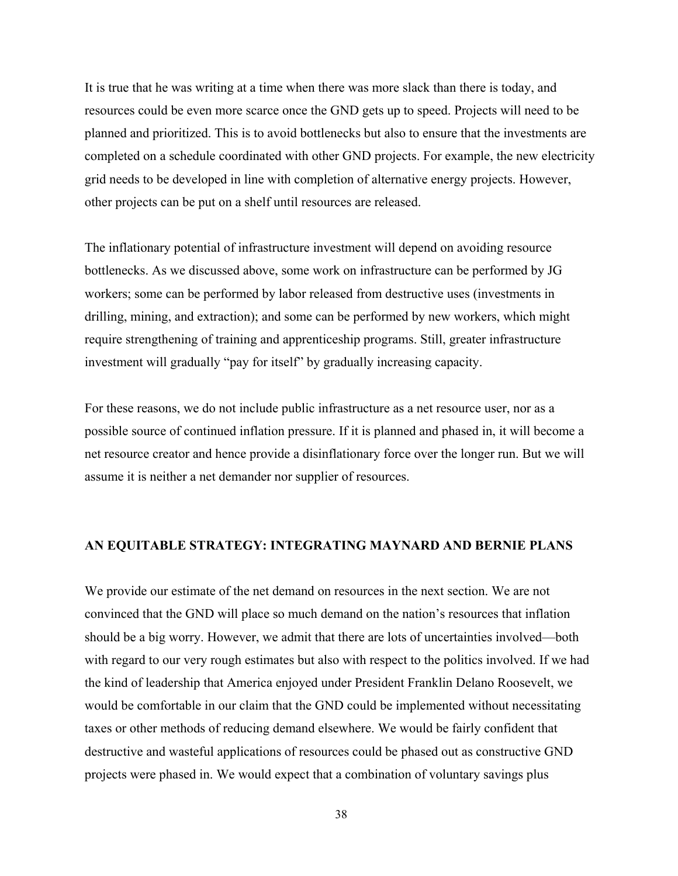It is true that he was writing at a time when there was more slack than there is today, and resources could be even more scarce once the GND gets up to speed. Projects will need to be planned and prioritized. This is to avoid bottlenecks but also to ensure that the investments are completed on a schedule coordinated with other GND projects. For example, the new electricity grid needs to be developed in line with completion of alternative energy projects. However, other projects can be put on a shelf until resources are released.

The inflationary potential of infrastructure investment will depend on avoiding resource bottlenecks. As we discussed above, some work on infrastructure can be performed by JG workers; some can be performed by labor released from destructive uses (investments in drilling, mining, and extraction); and some can be performed by new workers, which might require strengthening of training and apprenticeship programs. Still, greater infrastructure investment will gradually "pay for itself" by gradually increasing capacity.

For these reasons, we do not include public infrastructure as a net resource user, nor as a possible source of continued inflation pressure. If it is planned and phased in, it will become a net resource creator and hence provide a disinflationary force over the longer run. But we will assume it is neither a net demander nor supplier of resources.

#### **AN EQUITABLE STRATEGY: INTEGRATING MAYNARD AND BERNIE PLANS**

We provide our estimate of the net demand on resources in the next section. We are not convinced that the GND will place so much demand on the nation's resources that inflation should be a big worry. However, we admit that there are lots of uncertainties involved—both with regard to our very rough estimates but also with respect to the politics involved. If we had the kind of leadership that America enjoyed under President Franklin Delano Roosevelt, we would be comfortable in our claim that the GND could be implemented without necessitating taxes or other methods of reducing demand elsewhere. We would be fairly confident that destructive and wasteful applications of resources could be phased out as constructive GND projects were phased in. We would expect that a combination of voluntary savings plus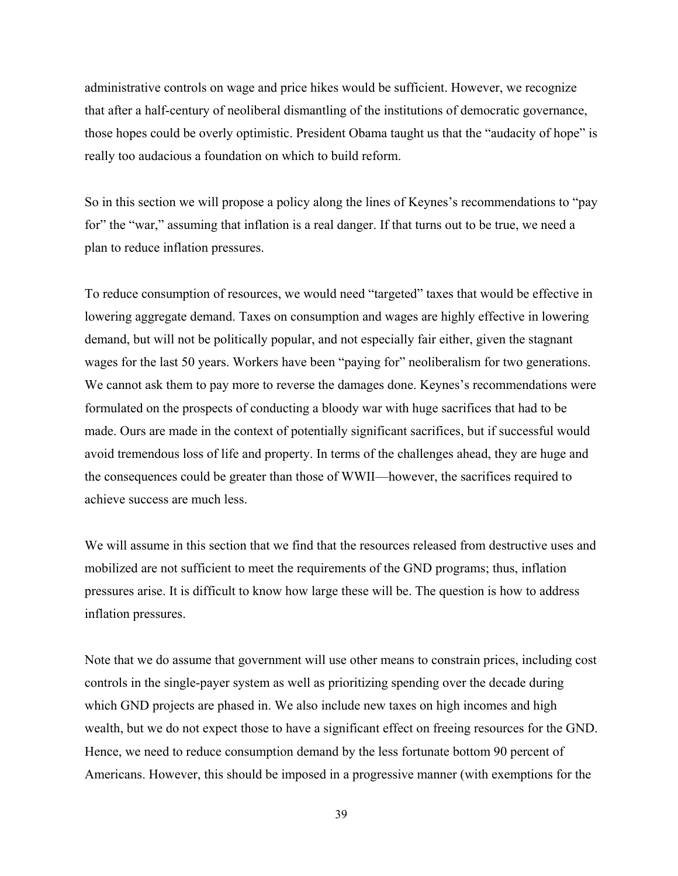administrative controls on wage and price hikes would be sufficient. However, we recognize that after a half-century of neoliberal dismantling of the institutions of democratic governance, those hopes could be overly optimistic. President Obama taught us that the "audacity of hope" is really too audacious a foundation on which to build reform.

So in this section we will propose a policy along the lines of Keynes's recommendations to "pay for" the "war," assuming that inflation is a real danger. If that turns out to be true, we need a plan to reduce inflation pressures.

To reduce consumption of resources, we would need "targeted" taxes that would be effective in lowering aggregate demand. Taxes on consumption and wages are highly effective in lowering demand, but will not be politically popular, and not especially fair either, given the stagnant wages for the last 50 years. Workers have been "paying for" neoliberalism for two generations. We cannot ask them to pay more to reverse the damages done. Keynes's recommendations were formulated on the prospects of conducting a bloody war with huge sacrifices that had to be made. Ours are made in the context of potentially significant sacrifices, but if successful would avoid tremendous loss of life and property. In terms of the challenges ahead, they are huge and the consequences could be greater than those of WWII—however, the sacrifices required to achieve success are much less.

We will assume in this section that we find that the resources released from destructive uses and mobilized are not sufficient to meet the requirements of the GND programs; thus, inflation pressures arise. It is difficult to know how large these will be. The question is how to address inflation pressures.

Note that we do assume that government will use other means to constrain prices, including cost controls in the single-payer system as well as prioritizing spending over the decade during which GND projects are phased in. We also include new taxes on high incomes and high wealth, but we do not expect those to have a significant effect on freeing resources for the GND. Hence, we need to reduce consumption demand by the less fortunate bottom 90 percent of Americans. However, this should be imposed in a progressive manner (with exemptions for the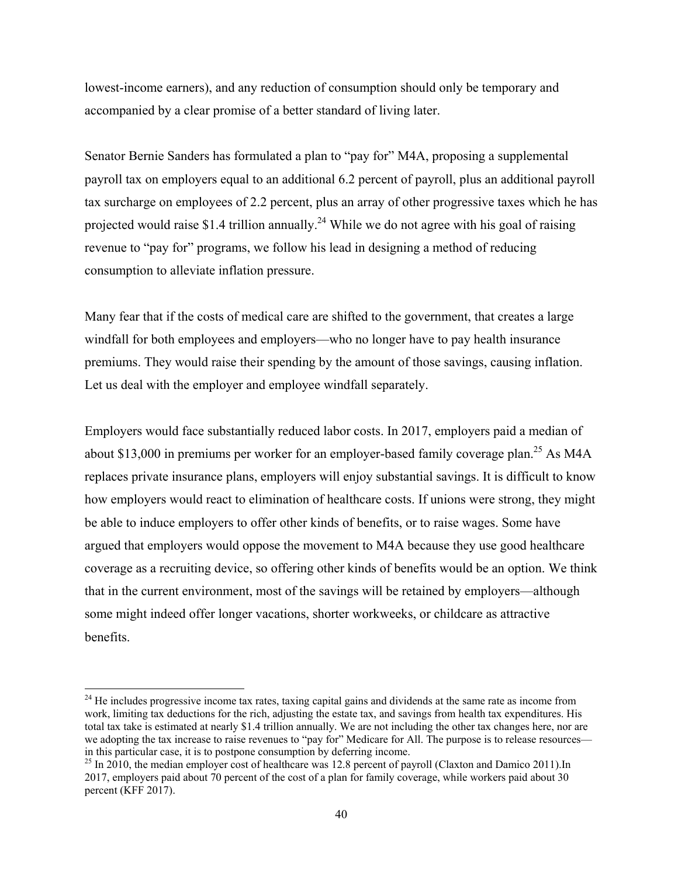lowest-income earners), and any reduction of consumption should only be temporary and accompanied by a clear promise of a better standard of living later.

Senator Bernie Sanders has formulated a plan to "pay for" M4A, proposing a supplemental payroll tax on employers equal to an additional 6.2 percent of payroll, plus an additional payroll tax surcharge on employees of 2.2 percent, plus an array of other progressive taxes which he has projected would raise \$1.4 trillion annually.<sup>24</sup> While we do not agree with his goal of raising revenue to "pay for" programs, we follow his lead in designing a method of reducing consumption to alleviate inflation pressure.

Many fear that if the costs of medical care are shifted to the government, that creates a large windfall for both employees and employers—who no longer have to pay health insurance premiums. They would raise their spending by the amount of those savings, causing inflation. Let us deal with the employer and employee windfall separately.

Employers would face substantially reduced labor costs. In 2017, employers paid a median of about \$13,000 in premiums per worker for an employer-based family coverage plan.<sup>25</sup> As M4A replaces private insurance plans, employers will enjoy substantial savings. It is difficult to know how employers would react to elimination of healthcare costs. If unions were strong, they might be able to induce employers to offer other kinds of benefits, or to raise wages. Some have argued that employers would oppose the movement to M4A because they use good healthcare coverage as a recruiting device, so offering other kinds of benefits would be an option. We think that in the current environment, most of the savings will be retained by employers—although some might indeed offer longer vacations, shorter workweeks, or childcare as attractive benefits.

<sup>&</sup>lt;sup>24</sup> He includes progressive income tax rates, taxing capital gains and dividends at the same rate as income from work, limiting tax deductions for the rich, adjusting the estate tax, and savings from health tax expenditures. His total tax take is estimated at nearly \$1.4 trillion annually. We are not including the other tax changes here, nor are we adopting the tax increase to raise revenues to "pay for" Medicare for All. The purpose is to release resources in this particular case, it is to postpone consumption by deferring income.

<sup>&</sup>lt;sup>25</sup> In 2010, the median employer cost of healthcare was 12.8 percent of payroll (Claxton and Damico 2011).In 2017, employers paid about 70 percent of the cost of a plan for family coverage, while workers paid about 30 percent (KFF 2017).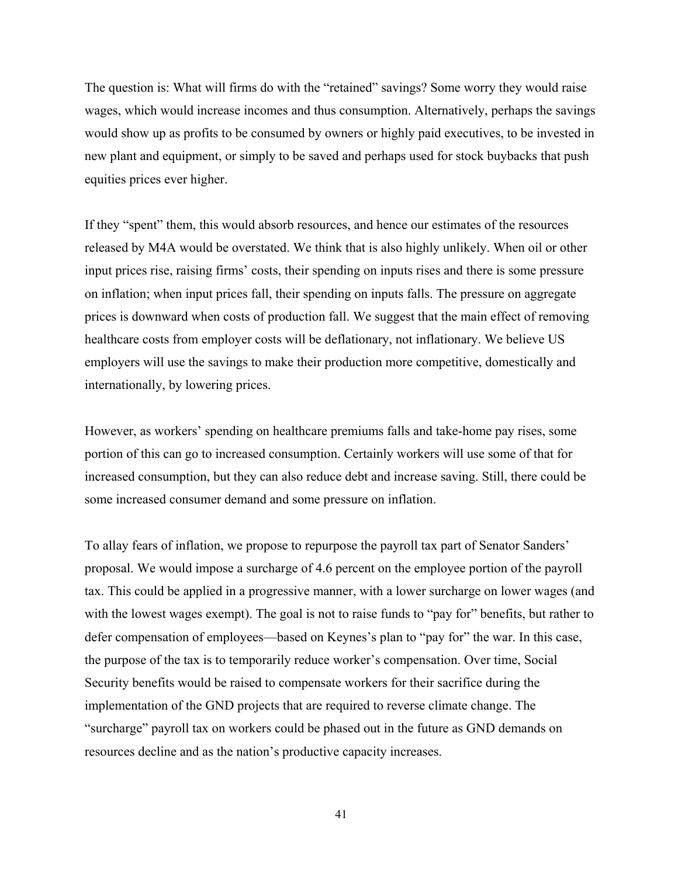The question is: What will firms do with the "retained" savings? Some worry they would raise wages, which would increase incomes and thus consumption. Alternatively, perhaps the savings would show up as profits to be consumed by owners or highly paid executives, to be invested in new plant and equipment, or simply to be saved and perhaps used for stock buybacks that push equities prices ever higher.

If they "spent" them, this would absorb resources, and hence our estimates of the resources released by M4A would be overstated. We think that is also highly unlikely. When oil or other input prices rise, raising firms' costs, their spending on inputs rises and there is some pressure on inflation; when input prices fall, their spending on inputs falls. The pressure on aggregate prices is downward when costs of production fall. We suggest that the main effect of removing healthcare costs from employer costs will be deflationary, not inflationary. We believe US employers will use the savings to make their production more competitive, domestically and internationally, by lowering prices.

However, as workers' spending on healthcare premiums falls and take-home pay rises, some portion of this can go to increased consumption. Certainly workers will use some of that for increased consumption, but they can also reduce debt and increase saving. Still, there could be some increased consumer demand and some pressure on inflation.

To allay fears of inflation, we propose to repurpose the payroll tax part of Senator Sanders' proposal. We would impose a surcharge of 4.6 percent on the employee portion of the payroll tax. This could be applied in a progressive manner, with a lower surcharge on lower wages (and with the lowest wages exempt). The goal is not to raise funds to "pay for" benefits, but rather to defer compensation of employees—based on Keynes's plan to "pay for" the war. In this case, the purpose of the tax is to temporarily reduce worker's compensation. Over time, Social Security benefits would be raised to compensate workers for their sacrifice during the implementation of the GND projects that are required to reverse climate change. The "surcharge" payroll tax on workers could be phased out in the future as GND demands on resources decline and as the nation's productive capacity increases.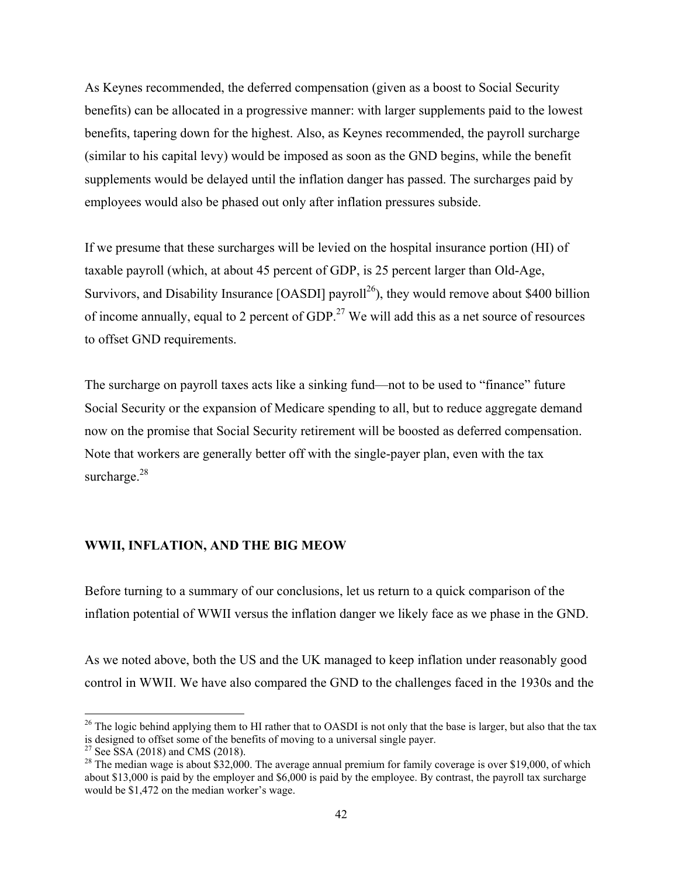As Keynes recommended, the deferred compensation (given as a boost to Social Security benefits) can be allocated in a progressive manner: with larger supplements paid to the lowest benefits, tapering down for the highest. Also, as Keynes recommended, the payroll surcharge (similar to his capital levy) would be imposed as soon as the GND begins, while the benefit supplements would be delayed until the inflation danger has passed. The surcharges paid by employees would also be phased out only after inflation pressures subside.

If we presume that these surcharges will be levied on the hospital insurance portion (HI) of taxable payroll (which, at about 45 percent of GDP, is 25 percent larger than Old-Age, Survivors, and Disability Insurance  $[OASDI]$  payroll<sup>26</sup>), they would remove about \$400 billion of income annually, equal to 2 percent of GDP.<sup>27</sup> We will add this as a net source of resources to offset GND requirements.

The surcharge on payroll taxes acts like a sinking fund—not to be used to "finance" future Social Security or the expansion of Medicare spending to all, but to reduce aggregate demand now on the promise that Social Security retirement will be boosted as deferred compensation. Note that workers are generally better off with the single-payer plan, even with the tax surcharge.<sup>28</sup>

### **WWII, INFLATION, AND THE BIG MEOW**

Before turning to a summary of our conclusions, let us return to a quick comparison of the inflation potential of WWII versus the inflation danger we likely face as we phase in the GND.

As we noted above, both the US and the UK managed to keep inflation under reasonably good control in WWII. We have also compared the GND to the challenges faced in the 1930s and the

 $26$  The logic behind applying them to HI rather that to OASDI is not only that the base is larger, but also that the tax is designed to offset some of the benefits of moving to a universal single payer.

<sup>&</sup>lt;sup>27</sup> See SSA (2018) and CMS (2018).

<sup>&</sup>lt;sup>28</sup> The median wage is about \$32,000. The average annual premium for family coverage is over \$19,000, of which about \$13,000 is paid by the employer and \$6,000 is paid by the employee. By contrast, the payroll tax surcharge would be \$1,472 on the median worker's wage.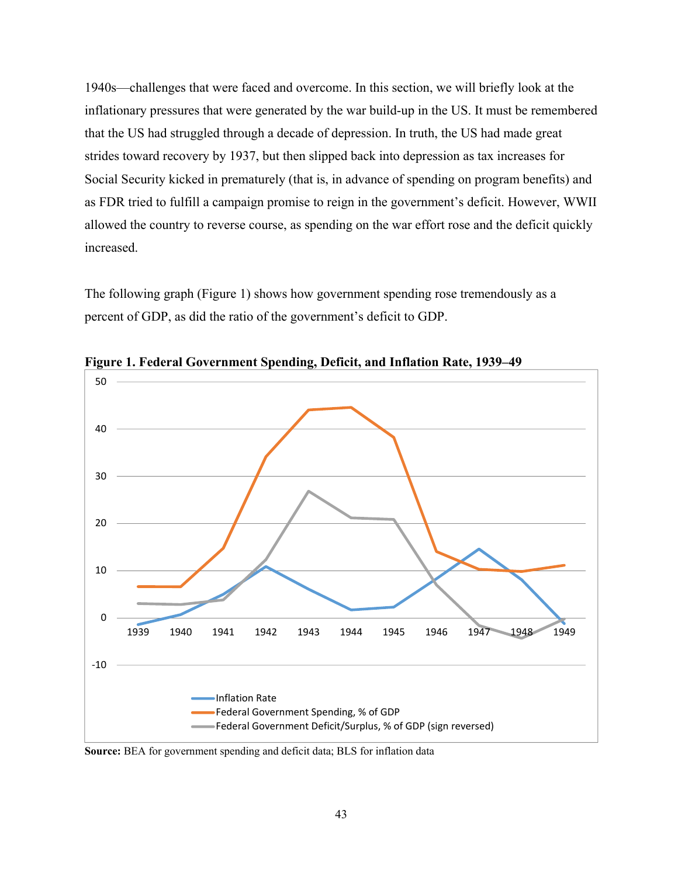1940s—challenges that were faced and overcome. In this section, we will briefly look at the inflationary pressures that were generated by the war build-up in the US. It must be remembered that the US had struggled through a decade of depression. In truth, the US had made great strides toward recovery by 1937, but then slipped back into depression as tax increases for Social Security kicked in prematurely (that is, in advance of spending on program benefits) and as FDR tried to fulfill a campaign promise to reign in the government's deficit. However, WWII allowed the country to reverse course, as spending on the war effort rose and the deficit quickly increased.

The following graph (Figure 1) shows how government spending rose tremendously as a percent of GDP, as did the ratio of the government's deficit to GDP.



**Figure 1. Federal Government Spending, Deficit, and Inflation Rate, 1939–49** 

**Source:** BEA for government spending and deficit data; BLS for inflation data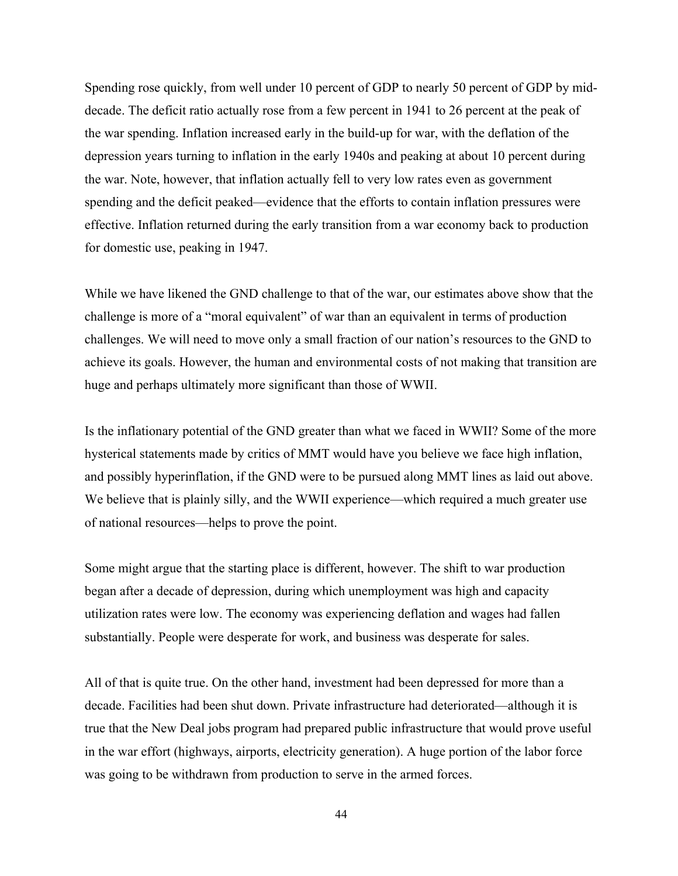Spending rose quickly, from well under 10 percent of GDP to nearly 50 percent of GDP by middecade. The deficit ratio actually rose from a few percent in 1941 to 26 percent at the peak of the war spending. Inflation increased early in the build-up for war, with the deflation of the depression years turning to inflation in the early 1940s and peaking at about 10 percent during the war. Note, however, that inflation actually fell to very low rates even as government spending and the deficit peaked—evidence that the efforts to contain inflation pressures were effective. Inflation returned during the early transition from a war economy back to production for domestic use, peaking in 1947.

While we have likened the GND challenge to that of the war, our estimates above show that the challenge is more of a "moral equivalent" of war than an equivalent in terms of production challenges. We will need to move only a small fraction of our nation's resources to the GND to achieve its goals. However, the human and environmental costs of not making that transition are huge and perhaps ultimately more significant than those of WWII.

Is the inflationary potential of the GND greater than what we faced in WWII? Some of the more hysterical statements made by critics of MMT would have you believe we face high inflation, and possibly hyperinflation, if the GND were to be pursued along MMT lines as laid out above. We believe that is plainly silly, and the WWII experience—which required a much greater use of national resources—helps to prove the point.

Some might argue that the starting place is different, however. The shift to war production began after a decade of depression, during which unemployment was high and capacity utilization rates were low. The economy was experiencing deflation and wages had fallen substantially. People were desperate for work, and business was desperate for sales.

All of that is quite true. On the other hand, investment had been depressed for more than a decade. Facilities had been shut down. Private infrastructure had deteriorated—although it is true that the New Deal jobs program had prepared public infrastructure that would prove useful in the war effort (highways, airports, electricity generation). A huge portion of the labor force was going to be withdrawn from production to serve in the armed forces.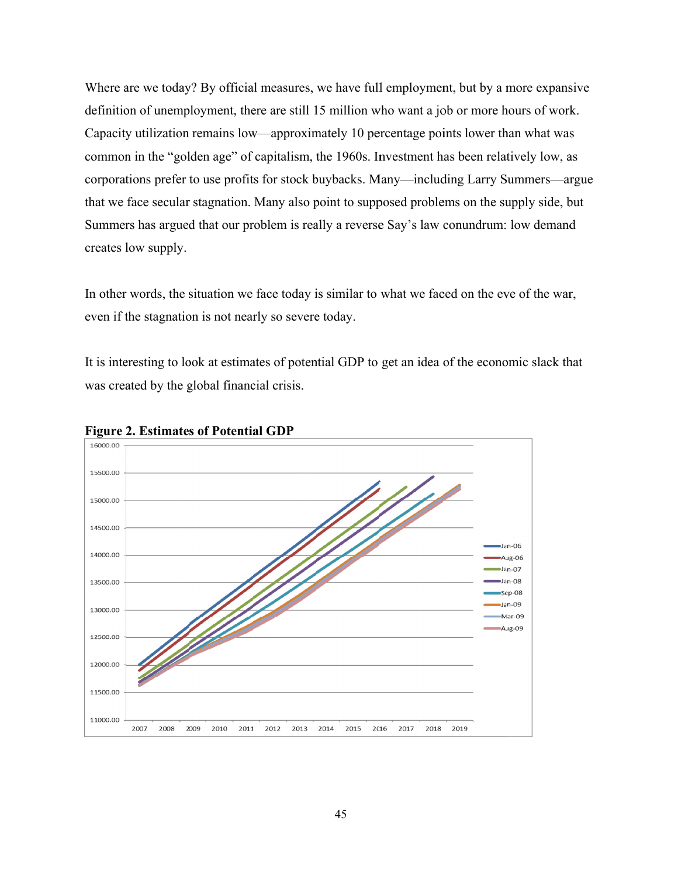Where are we today? By official measures, we have full employment, but by a more expansive definition of unemployment, there are still 15 million who want a job or more hours of work. Capacity utilization remains low—approximately 10 percentage points lower than what was common in the "golden age" of capitalism, the 1960s. Investment has been relatively low, as corporations prefer to use profits for stock buybacks. Many—including Larry Summers—argue that we face secular stagnation. Many also point to supposed problems on the supply side, but Summers has argued that our problem is really a reverse Say's law conundrum: low demand creates l low supply. d<br>r,

In other words, the situation we face today is similar to what we faced on the eve of the war even if the stagnation is not nearly so severe today.

It is interesting to look at estimates of potential GDP to get an idea of the economic slack that was created by the global financial crisis.



**Figure 2. Estimates of Potential GDP**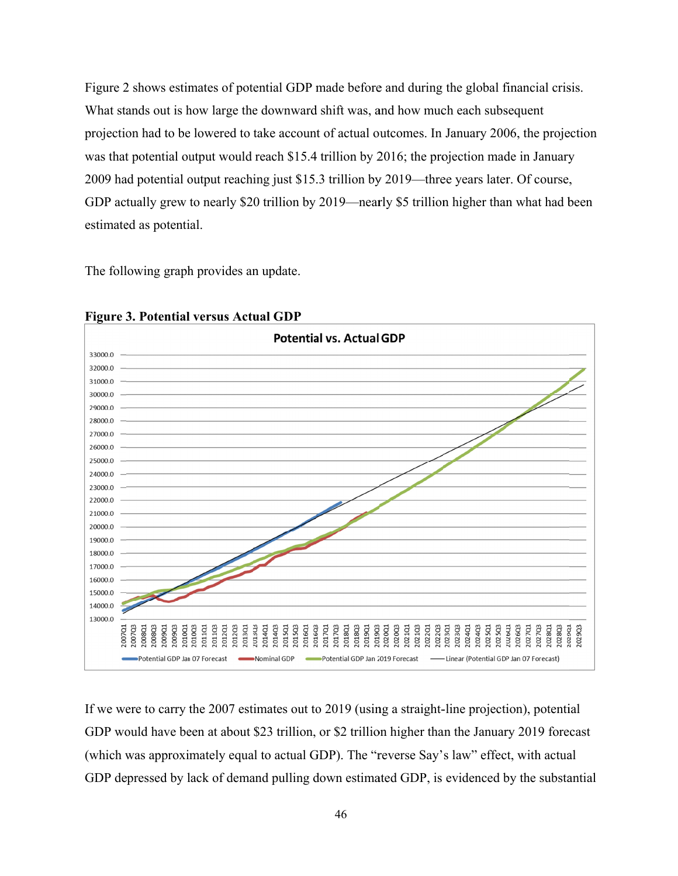Figure 2 shows estimates of potential GDP made before and during the global financial crisis. What stands out is how large the downward shift was, and how much each subsequent projection had to be lowered to take account of actual outcomes. In January 2006, the projection was that potential output would reach \$15.4 trillion by 2016; the projection made in January 2009 had potential output reaching just \$15.3 trillion by 2019—three years later. Of course, was that potential output would reach \$15.4 trillion by 2016; the projection made in January<br>2009 had potential output reaching just \$15.3 trillion by 2019—three years later. Of course,<br>GDP actually grew to nearly \$20 tril estimated as potential.

The following graph provides an update.



**Figure 3. Potential versus Actual GDP** 

If we were to carry the 2007 estimates out to 2019 (using a straight-line projection), potential GDP would have been at about \$23 trillion, or \$2 trillion higher than the January 2019 forecast (which was approximately equal to actual GDP). The "reverse Say's law" effect, with actual GDP depressed by lack of demand pulling down estimated GDP, is evidenced by the substantial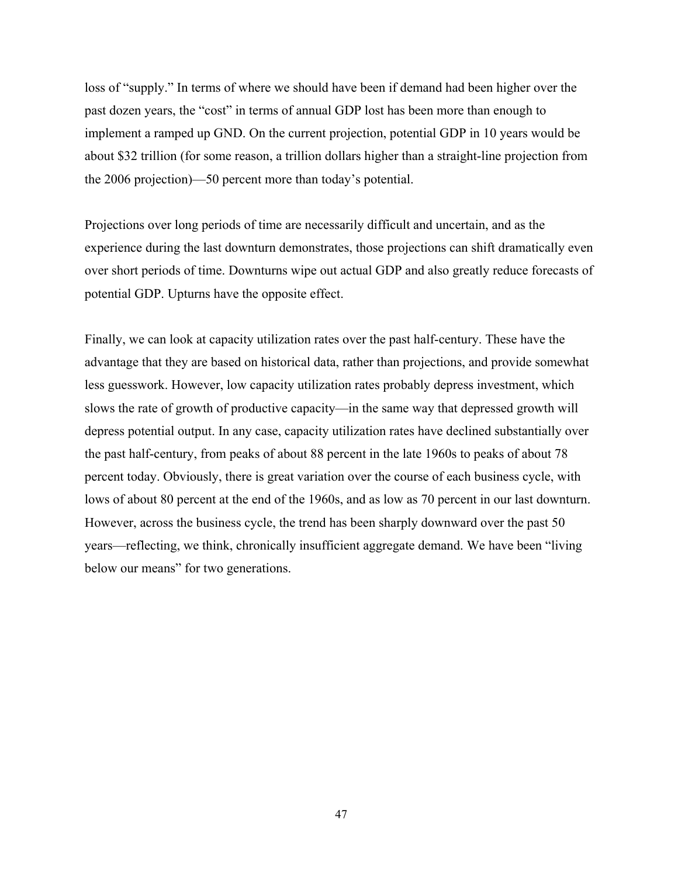loss of "supply." In terms of where we should have been if demand had been higher over the past dozen years, the "cost" in terms of annual GDP lost has been more than enough to implement a ramped up GND. On the current projection, potential GDP in 10 years would be about \$32 trillion (for some reason, a trillion dollars higher than a straight-line projection from the 2006 projection)—50 percent more than today's potential.

Projections over long periods of time are necessarily difficult and uncertain, and as the experience during the last downturn demonstrates, those projections can shift dramatically even over short periods of time. Downturns wipe out actual GDP and also greatly reduce forecasts of potential GDP. Upturns have the opposite effect.

Finally, we can look at capacity utilization rates over the past half-century. These have the advantage that they are based on historical data, rather than projections, and provide somewhat less guesswork. However, low capacity utilization rates probably depress investment, which slows the rate of growth of productive capacity—in the same way that depressed growth will depress potential output. In any case, capacity utilization rates have declined substantially over the past half-century, from peaks of about 88 percent in the late 1960s to peaks of about 78 percent today. Obviously, there is great variation over the course of each business cycle, with lows of about 80 percent at the end of the 1960s, and as low as 70 percent in our last downturn. However, across the business cycle, the trend has been sharply downward over the past 50 years—reflecting, we think, chronically insufficient aggregate demand. We have been "living below our means" for two generations.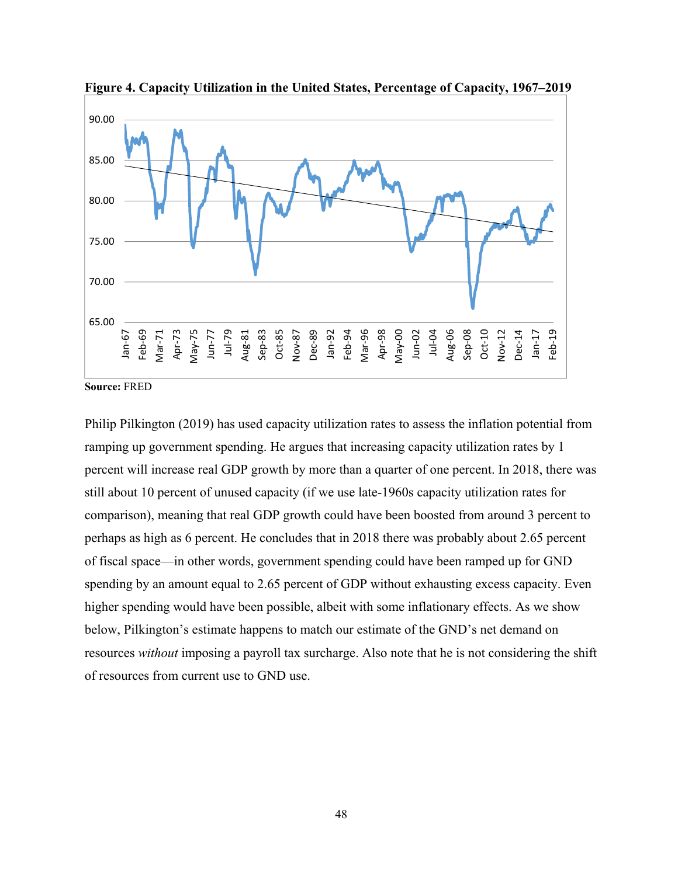

**Figure 4. Capacity Utilization in the United States, Percentage of Capacity, 1967–2019** 

**Source:** FRED

Philip Pilkington (2019) has used capacity utilization rates to assess the inflation potential from ramping up government spending. He argues that increasing capacity utilization rates by 1 percent will increase real GDP growth by more than a quarter of one percent. In 2018, there was still about 10 percent of unused capacity (if we use late-1960s capacity utilization rates for comparison), meaning that real GDP growth could have been boosted from around 3 percent to perhaps as high as 6 percent. He concludes that in 2018 there was probably about 2.65 percent of fiscal space—in other words, government spending could have been ramped up for GND spending by an amount equal to 2.65 percent of GDP without exhausting excess capacity. Even higher spending would have been possible, albeit with some inflationary effects. As we show below, Pilkington's estimate happens to match our estimate of the GND's net demand on resources *without* imposing a payroll tax surcharge. Also note that he is not considering the shift of resources from current use to GND use.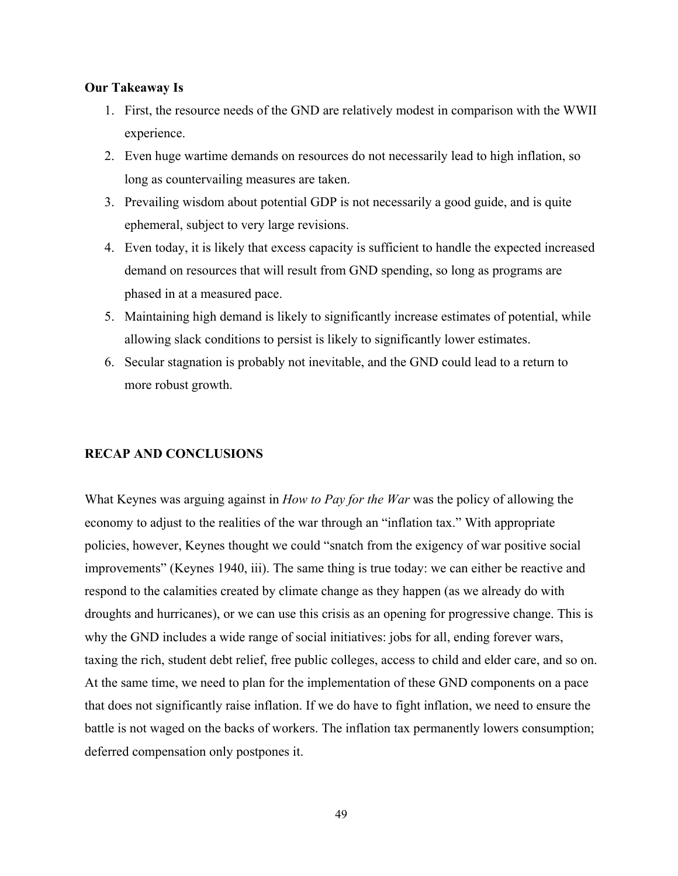### **Our Takeaway Is**

- 1. First, the resource needs of the GND are relatively modest in comparison with the WWII experience.
- 2. Even huge wartime demands on resources do not necessarily lead to high inflation, so long as countervailing measures are taken.
- 3. Prevailing wisdom about potential GDP is not necessarily a good guide, and is quite ephemeral, subject to very large revisions.
- 4. Even today, it is likely that excess capacity is sufficient to handle the expected increased demand on resources that will result from GND spending, so long as programs are phased in at a measured pace.
- 5. Maintaining high demand is likely to significantly increase estimates of potential, while allowing slack conditions to persist is likely to significantly lower estimates.
- 6. Secular stagnation is probably not inevitable, and the GND could lead to a return to more robust growth.

### **RECAP AND CONCLUSIONS**

What Keynes was arguing against in *How to Pay for the War* was the policy of allowing the economy to adjust to the realities of the war through an "inflation tax." With appropriate policies, however, Keynes thought we could "snatch from the exigency of war positive social improvements" (Keynes 1940, iii). The same thing is true today: we can either be reactive and respond to the calamities created by climate change as they happen (as we already do with droughts and hurricanes), or we can use this crisis as an opening for progressive change. This is why the GND includes a wide range of social initiatives: jobs for all, ending forever wars, taxing the rich, student debt relief, free public colleges, access to child and elder care, and so on. At the same time, we need to plan for the implementation of these GND components on a pace that does not significantly raise inflation. If we do have to fight inflation, we need to ensure the battle is not waged on the backs of workers. The inflation tax permanently lowers consumption; deferred compensation only postpones it.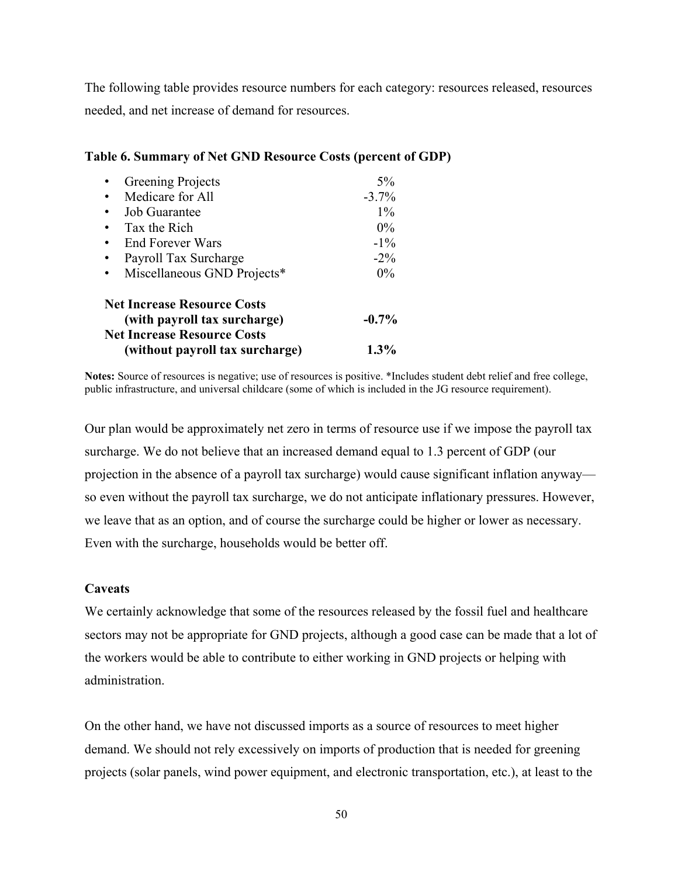The following table provides resource numbers for each category: resources released, resources needed, and net increase of demand for resources.

| Greening Projects                                                  | $5\%$   |
|--------------------------------------------------------------------|---------|
| Medicare for All                                                   | $-3.7%$ |
| <b>Job Guarantee</b>                                               | $1\%$   |
| Tax the Rich                                                       | $0\%$   |
| <b>End Forever Wars</b>                                            | $-1\%$  |
| Payroll Tax Surcharge                                              | $-2\%$  |
| Miscellaneous GND Projects*                                        | $0\%$   |
| <b>Net Increase Resource Costs</b><br>(with payroll tax surcharge) | $-0.7%$ |
| <b>Net Increase Resource Costs</b>                                 |         |
| (without payroll tax surcharge)                                    | $1.3\%$ |

## **Table 6. Summary of Net GND Resource Costs (percent of GDP)**

**Notes:** Source of resources is negative; use of resources is positive. \*Includes student debt relief and free college, public infrastructure, and universal childcare (some of which is included in the JG resource requirement).

Our plan would be approximately net zero in terms of resource use if we impose the payroll tax surcharge. We do not believe that an increased demand equal to 1.3 percent of GDP (our projection in the absence of a payroll tax surcharge) would cause significant inflation anyway so even without the payroll tax surcharge, we do not anticipate inflationary pressures. However, we leave that as an option, and of course the surcharge could be higher or lower as necessary. Even with the surcharge, households would be better off.

### **Caveats**

We certainly acknowledge that some of the resources released by the fossil fuel and healthcare sectors may not be appropriate for GND projects, although a good case can be made that a lot of the workers would be able to contribute to either working in GND projects or helping with administration.

On the other hand, we have not discussed imports as a source of resources to meet higher demand. We should not rely excessively on imports of production that is needed for greening projects (solar panels, wind power equipment, and electronic transportation, etc.), at least to the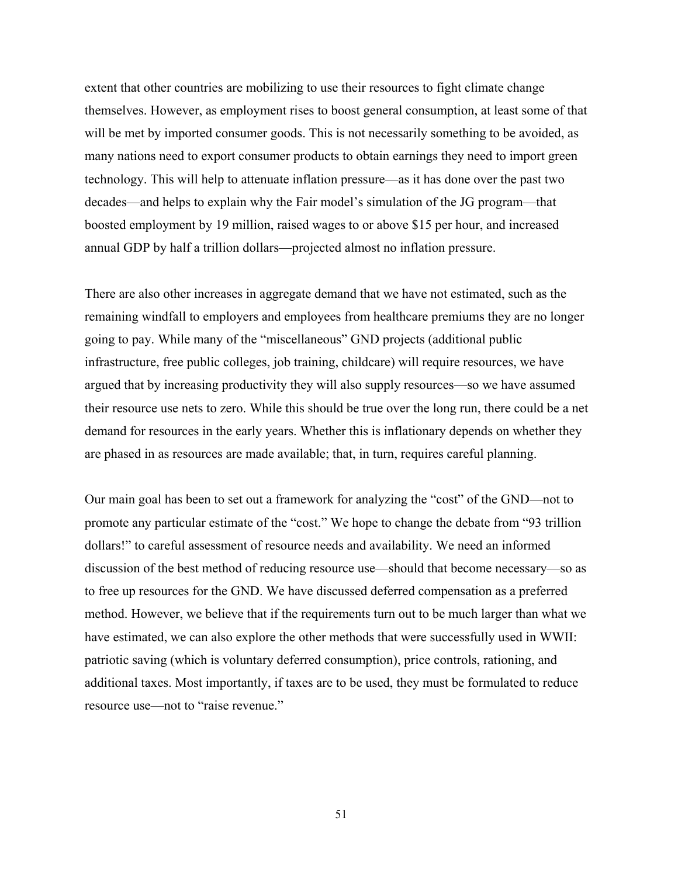extent that other countries are mobilizing to use their resources to fight climate change themselves. However, as employment rises to boost general consumption, at least some of that will be met by imported consumer goods. This is not necessarily something to be avoided, as many nations need to export consumer products to obtain earnings they need to import green technology. This will help to attenuate inflation pressure—as it has done over the past two decades—and helps to explain why the Fair model's simulation of the JG program—that boosted employment by 19 million, raised wages to or above \$15 per hour, and increased annual GDP by half a trillion dollars—projected almost no inflation pressure.

There are also other increases in aggregate demand that we have not estimated, such as the remaining windfall to employers and employees from healthcare premiums they are no longer going to pay. While many of the "miscellaneous" GND projects (additional public infrastructure, free public colleges, job training, childcare) will require resources, we have argued that by increasing productivity they will also supply resources—so we have assumed their resource use nets to zero. While this should be true over the long run, there could be a net demand for resources in the early years. Whether this is inflationary depends on whether they are phased in as resources are made available; that, in turn, requires careful planning.

Our main goal has been to set out a framework for analyzing the "cost" of the GND—not to promote any particular estimate of the "cost." We hope to change the debate from "93 trillion dollars!" to careful assessment of resource needs and availability. We need an informed discussion of the best method of reducing resource use—should that become necessary—so as to free up resources for the GND. We have discussed deferred compensation as a preferred method. However, we believe that if the requirements turn out to be much larger than what we have estimated, we can also explore the other methods that were successfully used in WWII: patriotic saving (which is voluntary deferred consumption), price controls, rationing, and additional taxes. Most importantly, if taxes are to be used, they must be formulated to reduce resource use—not to "raise revenue."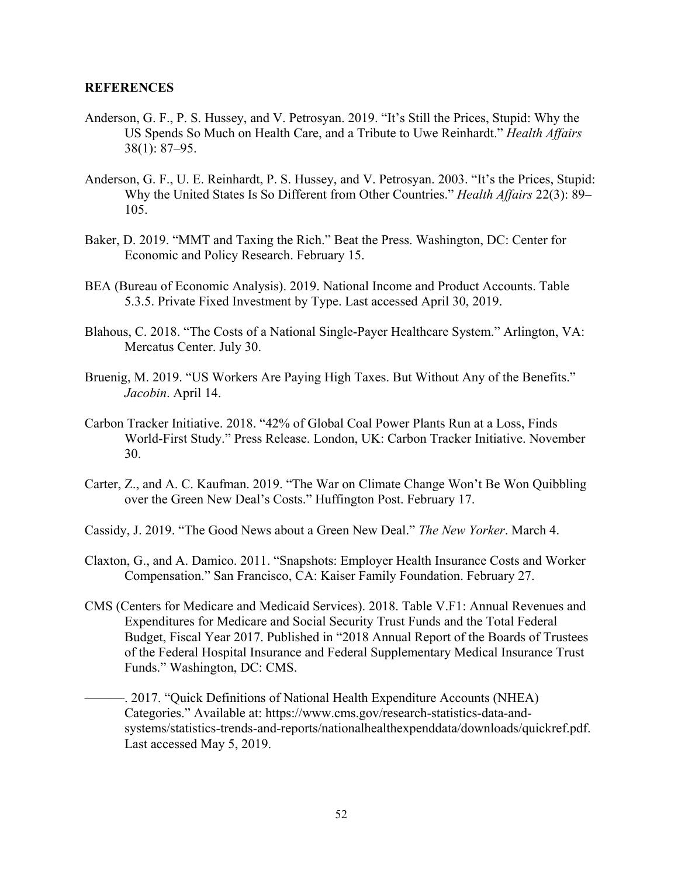### **REFERENCES**

- Anderson, G. F., P. S. Hussey, and V. Petrosyan. 2019. "It's Still the Prices, Stupid: Why the US Spends So Much on Health Care, and a Tribute to Uwe Reinhardt." *Health Affairs* 38(1): 87–95.
- Anderson, G. F., U. E. Reinhardt, P. S. Hussey, and V. Petrosyan. 2003. "It's the Prices, Stupid: Why the United States Is So Different from Other Countries." *Health Affairs* 22(3): 89– 105.
- Baker, D. 2019. "MMT and Taxing the Rich." Beat the Press. Washington, DC: Center for Economic and Policy Research. February 15.
- BEA (Bureau of Economic Analysis). 2019. National Income and Product Accounts. Table 5.3.5. Private Fixed Investment by Type. Last accessed April 30, 2019.
- Blahous, C. 2018. "The Costs of a National Single-Payer Healthcare System." Arlington, VA: Mercatus Center. July 30.
- Bruenig, M. 2019. "US Workers Are Paying High Taxes. But Without Any of the Benefits." *Jacobin*. April 14.
- Carbon Tracker Initiative. 2018. "42% of Global Coal Power Plants Run at a Loss, Finds World-First Study." Press Release. London, UK: Carbon Tracker Initiative. November 30.
- Carter, Z., and A. C. Kaufman. 2019. "The War on Climate Change Won't Be Won Quibbling over the Green New Deal's Costs." Huffington Post. February 17.
- Cassidy, J. 2019. "The Good News about a Green New Deal." *The New Yorker*. March 4.
- Claxton, G., and A. Damico. 2011. "Snapshots: Employer Health Insurance Costs and Worker Compensation." San Francisco, CA: Kaiser Family Foundation. February 27.
- CMS (Centers for Medicare and Medicaid Services). 2018. Table V.F1: Annual Revenues and Expenditures for Medicare and Social Security Trust Funds and the Total Federal Budget, Fiscal Year 2017. Published in "2018 Annual Report of the Boards of Trustees of the Federal Hospital Insurance and Federal Supplementary Medical Insurance Trust Funds." Washington, DC: CMS.
	- ———. 2017. "Quick Definitions of National Health Expenditure Accounts (NHEA) Categories." Available at: https://www.cms.gov/research-statistics-data-andsystems/statistics-trends-and-reports/nationalhealthexpenddata/downloads/quickref.pdf. Last accessed May 5, 2019.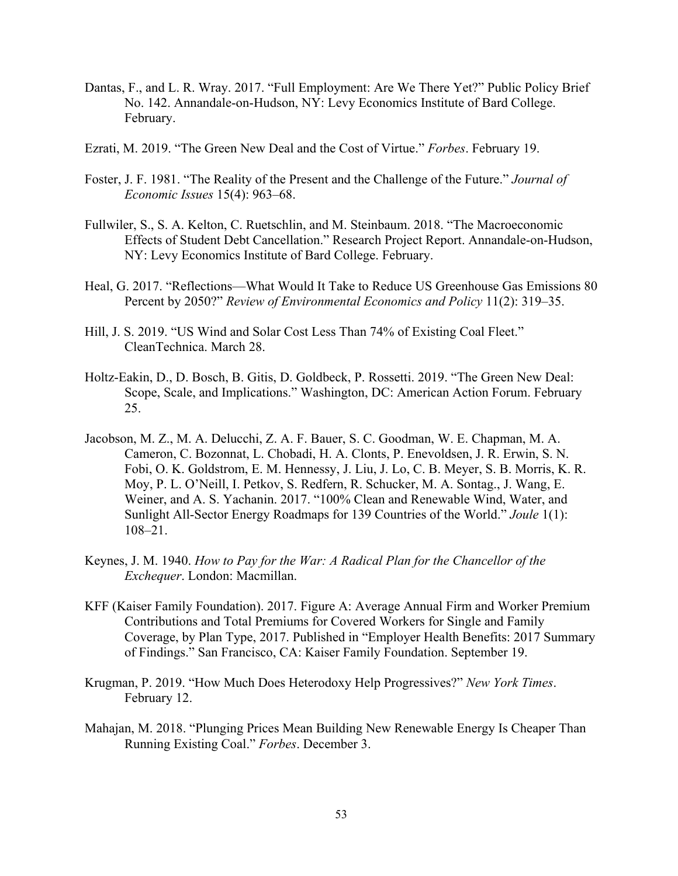- Dantas, F., and L. R. Wray. 2017. "Full Employment: Are We There Yet?" Public Policy Brief No. 142. Annandale-on-Hudson, NY: Levy Economics Institute of Bard College. February.
- Ezrati, M. 2019. "The Green New Deal and the Cost of Virtue." *Forbes*. February 19.
- Foster, J. F. 1981. "The Reality of the Present and the Challenge of the Future." *Journal of Economic Issues* 15(4): 963–68.
- Fullwiler, S., S. A. Kelton, C. Ruetschlin, and M. Steinbaum. 2018. "The Macroeconomic Effects of Student Debt Cancellation." Research Project Report. Annandale-on-Hudson, NY: Levy Economics Institute of Bard College. February.
- Heal, G. 2017. "Reflections—What Would It Take to Reduce US Greenhouse Gas Emissions 80 Percent by 2050?" *Review of Environmental Economics and Policy* 11(2): 319–35.
- Hill, J. S. 2019. "US Wind and Solar Cost Less Than 74% of Existing Coal Fleet." CleanTechnica. March 28.
- Holtz-Eakin, D., D. Bosch, B. Gitis, D. Goldbeck, P. Rossetti. 2019. "The Green New Deal: Scope, Scale, and Implications." Washington, DC: American Action Forum. February 25.
- Jacobson, M. Z., M. A. Delucchi, Z. A. F. Bauer, S. C. Goodman, W. E. Chapman, M. A. Cameron, C. Bozonnat, L. Chobadi, H. A. Clonts, P. Enevoldsen, J. R. Erwin, S. N. Fobi, O. K. Goldstrom, E. M. Hennessy, J. Liu, J. Lo, C. B. Meyer, S. B. Morris, K. R. Moy, P. L. O'Neill, I. Petkov, S. Redfern, R. Schucker, M. A. Sontag., J. Wang, E. Weiner, and A. S. Yachanin. 2017. "100% Clean and Renewable Wind, Water, and Sunlight All-Sector Energy Roadmaps for 139 Countries of the World." *Joule* 1(1): 108–21.
- Keynes, J. M. 1940. *How to Pay for the War: A Radical Plan for the Chancellor of the Exchequer*. London: Macmillan.
- KFF (Kaiser Family Foundation). 2017. Figure A: Average Annual Firm and Worker Premium Contributions and Total Premiums for Covered Workers for Single and Family Coverage, by Plan Type, 2017. Published in "Employer Health Benefits: 2017 Summary of Findings." San Francisco, CA: Kaiser Family Foundation. September 19.
- Krugman, P. 2019. "How Much Does Heterodoxy Help Progressives?" *New York Times*. February 12.
- Mahajan, M. 2018. "Plunging Prices Mean Building New Renewable Energy Is Cheaper Than Running Existing Coal." *Forbes*. December 3.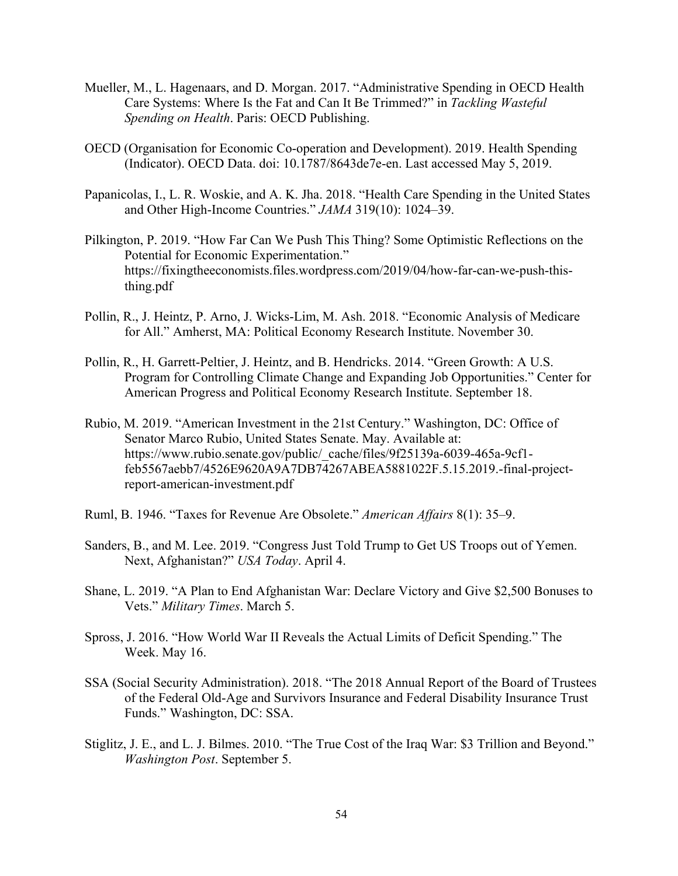- Mueller, M., L. Hagenaars, and D. Morgan. 2017. "Administrative Spending in OECD Health Care Systems: Where Is the Fat and Can It Be Trimmed?" in *Tackling Wasteful Spending on Health*. Paris: OECD Publishing.
- OECD (Organisation for Economic Co-operation and Development). 2019. Health Spending (Indicator). OECD Data. doi: 10.1787/8643de7e-en. Last accessed May 5, 2019.
- Papanicolas, I., L. R. Woskie, and A. K. Jha. 2018. "Health Care Spending in the United States and Other High-Income Countries." *JAMA* 319(10): 1024–39.
- Pilkington, P. 2019. "How Far Can We Push This Thing? Some Optimistic Reflections on the Potential for Economic Experimentation." https://fixingtheeconomists.files.wordpress.com/2019/04/how-far-can-we-push-thisthing.pdf
- Pollin, R., J. Heintz, P. Arno, J. Wicks-Lim, M. Ash. 2018. "Economic Analysis of Medicare for All." Amherst, MA: Political Economy Research Institute. November 30.
- Pollin, R., H. Garrett-Peltier, J. Heintz, and B. Hendricks. 2014. "Green Growth: A U.S. Program for Controlling Climate Change and Expanding Job Opportunities." Center for American Progress and Political Economy Research Institute. September 18.
- Rubio, M. 2019. "American Investment in the 21st Century." Washington, DC: Office of Senator Marco Rubio, United States Senate. May. Available at: https://www.rubio.senate.gov/public/\_cache/files/9f25139a-6039-465a-9cf1feb5567aebb7/4526E9620A9A7DB74267ABEA5881022F.5.15.2019.-final-projectreport-american-investment.pdf
- Ruml, B. 1946. "Taxes for Revenue Are Obsolete." *American Affairs* 8(1): 35–9.
- Sanders, B., and M. Lee. 2019. "Congress Just Told Trump to Get US Troops out of Yemen. Next, Afghanistan?" *USA Today*. April 4.
- Shane, L. 2019. "A Plan to End Afghanistan War: Declare Victory and Give \$2,500 Bonuses to Vets." *Military Times*. March 5.
- Spross, J. 2016. "How World War II Reveals the Actual Limits of Deficit Spending." The Week. May 16.
- SSA (Social Security Administration). 2018. "The 2018 Annual Report of the Board of Trustees of the Federal Old-Age and Survivors Insurance and Federal Disability Insurance Trust Funds." Washington, DC: SSA.
- Stiglitz, J. E., and L. J. Bilmes. 2010. "The True Cost of the Iraq War: \$3 Trillion and Beyond." *Washington Post*. September 5.